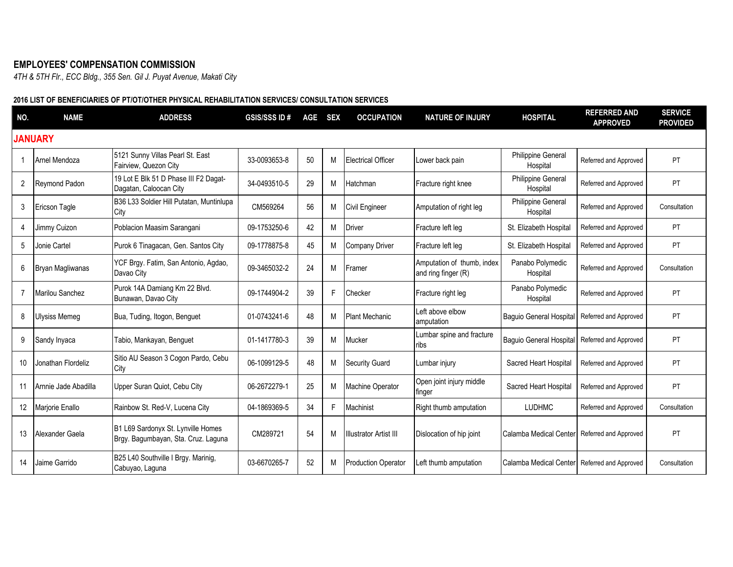## **EMPLOYEES' COMPENSATION COMMISSION**

*4TH & 5TH Flr., ECC Bldg., 355 Sen. Gil J. Puyat Avenue, Makati City*

## **2016 LIST OF BENEFICIARIES OF PT/OT/OTHER PHYSICAL REHABILITATION SERVICES/ CONSULTATION SERVICES**

| NO.            | <b>NAME</b>            | <b>ADDRESS</b>                                                            | <b>GSIS/SSS ID#</b> | AGE | <b>SEX</b> | <b>OCCUPATION</b>             | <b>NATURE OF INJURY</b>                           | <b>HOSPITAL</b>                | <b>REFERRED AND</b><br><b>APPROVED</b> | <b>SERVICE</b><br><b>PROVIDED</b> |
|----------------|------------------------|---------------------------------------------------------------------------|---------------------|-----|------------|-------------------------------|---------------------------------------------------|--------------------------------|----------------------------------------|-----------------------------------|
|                | <b>JANUARY</b>         |                                                                           |                     |     |            |                               |                                                   |                                |                                        |                                   |
| -1             | Arnel Mendoza          | 5121 Sunny Villas Pearl St. East<br>Fairview, Quezon City                 | 33-0093653-8        | 50  | M          | <b>Electrical Officer</b>     | Lower back pain                                   | Philippine General<br>Hospital | Referred and Approved                  | PT                                |
| 2              | Reymond Padon          | 19 Lot E Blk 51 D Phase III F2 Dagat-<br>Dagatan, Caloocan City           | 34-0493510-5        | 29  | M          | Hatchman                      | Fracture right knee                               | Philippine General<br>Hospital | Referred and Approved                  | PT                                |
| 3              | <b>Ericson Tagle</b>   | B36 L33 Soldier Hill Putatan, Muntinlupa<br>City                          | CM569264            | 56  | M          | <b>Civil Engineer</b>         | Amputation of right leg                           | Philippine General<br>Hospital | Referred and Approved                  | Consultation                      |
| 4              | Jimmy Cuizon           | Poblacion Maasim Sarangani                                                | 09-1753250-6        | 42  | M          | <b>Driver</b>                 | Fracture left leg                                 | St. Elizabeth Hospital         | Referred and Approved                  | PT                                |
| 5              | Jonie Cartel           | Purok 6 Tinagacan, Gen. Santos City                                       | 09-1778875-8        | 45  | M          | <b>Company Driver</b>         | Fracture left leg                                 | St. Elizabeth Hospital         | Referred and Approved                  | <b>PT</b>                         |
| 6              | Bryan Magliwanas       | YCF Brgy. Fatim, San Antonio, Agdao,<br>Davao City                        | 09-3465032-2        | 24  | M          | Framer                        | Amputation of thumb, index<br>and ring finger (R) | Panabo Polymedic<br>Hospital   | Referred and Approved                  | Consultation                      |
| $\overline{7}$ | <b>Marilou Sanchez</b> | Purok 14A Damiang Km 22 Blvd.<br>Bunawan, Davao City                      | 09-1744904-2        | 39  | F          | Checker                       | Fracture right leg                                | Panabo Polymedic<br>Hospital   | Referred and Approved                  | PT                                |
| 8              | Ulysiss Memeg          | Bua, Tuding, Itogon, Benguet                                              | 01-0743241-6        | 48  | M          | Plant Mechanic                | Left above elbow<br>amputation                    | Baguio General Hospital        | Referred and Approved                  | PT                                |
| 9              | Sandy Inyaca           | Tabio, Mankayan, Benguet                                                  | 01-1417780-3        | 39  | M          | Mucker                        | Lumbar spine and fracture<br>ribs                 | <b>Baguio General Hospital</b> | Referred and Approved                  | PT                                |
| 10             | Jonathan Flordeliz     | Sitio AU Season 3 Cogon Pardo, Cebu<br>City                               | 06-1099129-5        | 48  | M          | <b>Security Guard</b>         | Lumbar injury                                     | Sacred Heart Hospital          | Referred and Approved                  | PT                                |
| 11             | Arnnie Jade Abadilla   | Upper Suran Quiot, Cebu City                                              | 06-2672279-1        | 25  | M          | <b>Machine Operator</b>       | Open joint injury middle<br>finger                | Sacred Heart Hospital          | Referred and Approved                  | PT                                |
| 12             | Marjorie Enallo        | Rainbow St. Red-V, Lucena City                                            | 04-1869369-5        | 34  | F          | Machinist                     | Right thumb amputation                            | <b>LUDHMC</b>                  | Referred and Approved                  | Consultation                      |
| 13             | Alexander Gaela        | B1 L69 Sardonyx St. Lynville Homes<br>Brgy. Bagumbayan, Sta. Cruz. Laguna | CM289721            | 54  | M          | <b>Illustrator Artist III</b> | Dislocation of hip joint                          | Calamba Medical Center         | Referred and Approved                  | PT                                |
| 14             | Jaime Garrido          | B25 L40 Southville I Brgy. Marinig,<br>Cabuyao, Laguna                    | 03-6670265-7        | 52  | M          | <b>Production Operator</b>    | Left thumb amputation                             | Calamba Medical Center         | Referred and Approved                  | Consultation                      |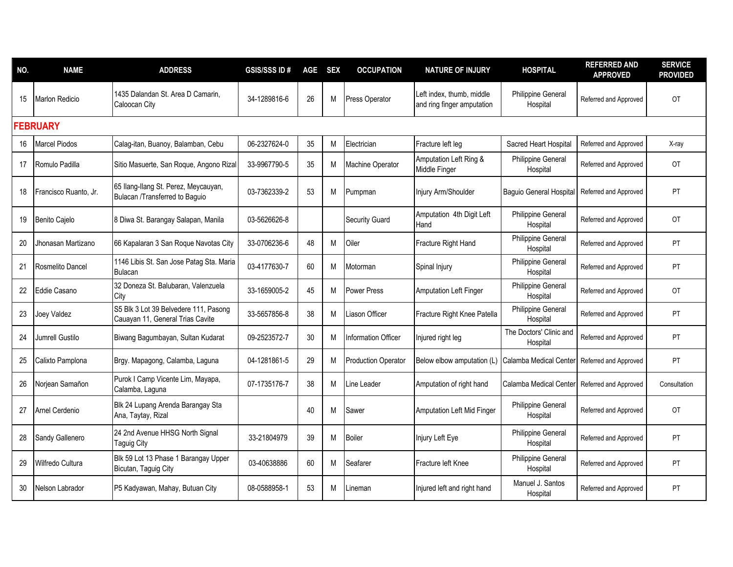| NO. | <b>NAME</b>           | <b>ADDRESS</b>                                                            | <b>GSIS/SSS ID#</b> | AGE SEX |   | <b>OCCUPATION</b>          | <b>NATURE OF INJURY</b>                                 | <b>HOSPITAL</b>                       | <b>REFERRED AND</b><br><b>APPROVED</b> | <b>SERVICE</b><br><b>PROVIDED</b> |
|-----|-----------------------|---------------------------------------------------------------------------|---------------------|---------|---|----------------------------|---------------------------------------------------------|---------------------------------------|----------------------------------------|-----------------------------------|
| 15  | <b>Marlon Redicio</b> | 1435 Dalandan St. Area D Camarin.<br>Caloocan City                        | 34-1289816-6        | 26      | M | Press Operator             | Left index, thumb, middle<br>and ring finger amputation | Philippine General<br>Hospital        | Referred and Approved                  | OT                                |
|     | <b>FEBRUARY</b>       |                                                                           |                     |         |   |                            |                                                         |                                       |                                        |                                   |
| 16  | <b>Marcel Piodos</b>  | Calag-itan, Buanoy, Balamban, Cebu                                        | 06-2327624-0        | 35      | M | Electrician                | Fracture left leg                                       | Sacred Heart Hospital                 | Referred and Approved                  | X-ray                             |
| 17  | Romulo Padilla        | Sitio Masuerte, San Roque, Angono Rizal                                   | 33-9967790-5        | 35      | M | <b>Machine Operator</b>    | Amputation Left Ring &<br>Middle Finger                 | Philippine General<br>Hospital        | Referred and Approved                  | OT                                |
| 18  | Francisco Ruanto, Jr. | 65 Ilang-Ilang St. Perez, Meycauyan,<br>Bulacan /Transferred to Baguio    | 03-7362339-2        | 53      | M | Pumpman                    | Injury Arm/Shoulder                                     | <b>Baguio General Hospital</b>        | Referred and Approved                  | PT                                |
| 19  | Benito Cajelo         | 8 Diwa St. Barangay Salapan, Manila                                       | 03-5626626-8        |         |   | <b>Security Guard</b>      | Amputation 4th Digit Left<br>Hand                       | Philippine General<br>Hospital        | Referred and Approved                  | <b>OT</b>                         |
| 20  | Jhonasan Martizano    | 66 Kapalaran 3 San Roque Navotas City                                     | 33-0706236-6        | 48      | M | Oiler                      | Fracture Right Hand                                     | <b>Philippine General</b><br>Hospital | Referred and Approved                  | <b>PT</b>                         |
| 21  | Rosmelito Dancel      | 1146 Libis St. San Jose Patag Sta. Maria<br><b>Bulacan</b>                | 03-4177630-7        | 60      | M | Motorman                   | Spinal Injury                                           | <b>Philippine General</b><br>Hospital | Referred and Approved                  | PT                                |
| 22  | Eddie Casano          | 32 Doneza St. Balubaran, Valenzuela<br>City                               | 33-1659005-2        | 45      | M | <b>Power Press</b>         | <b>Amputation Left Finger</b>                           | <b>Philippine General</b><br>Hospital | Referred and Approved                  | <b>OT</b>                         |
| 23  | Joey Valdez           | S5 Blk 3 Lot 39 Belvedere 111, Pasong<br>Cauayan 11, General Trias Cavite | 33-5657856-8        | 38      | M | Liason Officer             | Fracture Right Knee Patella                             | <b>Philippine General</b><br>Hospital | Referred and Approved                  | PT                                |
| 24  | Jumrell Gustilo       | Biwang Bagumbayan, Sultan Kudarat                                         | 09-2523572-7        | 30      | M | Information Officer        | Injured right leg                                       | The Doctors' Clinic and<br>Hospital   | Referred and Approved                  | PT                                |
| 25  | Calixto Pamplona      | Brgy. Mapagong, Calamba, Laguna                                           | 04-1281861-5        | 29      | M | <b>Production Operator</b> | Below elbow amputation (L)                              | Calamba Medical Center                | Referred and Approved                  | PT                                |
| 26  | Norjean Samañon       | Purok I Camp Vicente Lim, Mayapa,<br>Calamba, Laguna                      | 07-1735176-7        | 38      | M | Line Leader                | Amputation of right hand                                | Calamba Medical Center                | Referred and Approved                  | Consultation                      |
| 27  | Arnel Cerdenio        | Blk 24 Lupang Arenda Barangay Sta<br>Ana, Taytay, Rizal                   |                     | 40      | M | Sawer                      | Amputation Left Mid Finger                              | Philippine General<br>Hospital        | Referred and Approved                  | <b>OT</b>                         |
| 28  | Sandy Gallenero       | 24 2nd Avenue HHSG North Signal<br>Taguig City                            | 33-21804979         | 39      | M | <b>Boiler</b>              | Injury Left Eye                                         | Philippine General<br>Hospital        | Referred and Approved                  | PT                                |
| 29  | Wilfredo Cultura      | Blk 59 Lot 13 Phase 1 Barangay Upper<br>Bicutan, Taguig City              | 03-40638886         | 60      | M | Seafarer                   | Fracture left Knee                                      | <b>Philippine General</b><br>Hospital | Referred and Approved                  | <b>PT</b>                         |
| 30  | Nelson Labrador       | P5 Kadyawan, Mahay, Butuan City                                           | 08-0588958-1        | 53      | м | Lineman                    | Injured left and right hand                             | Manuel J. Santos<br>Hospital          | Referred and Approved                  | PT                                |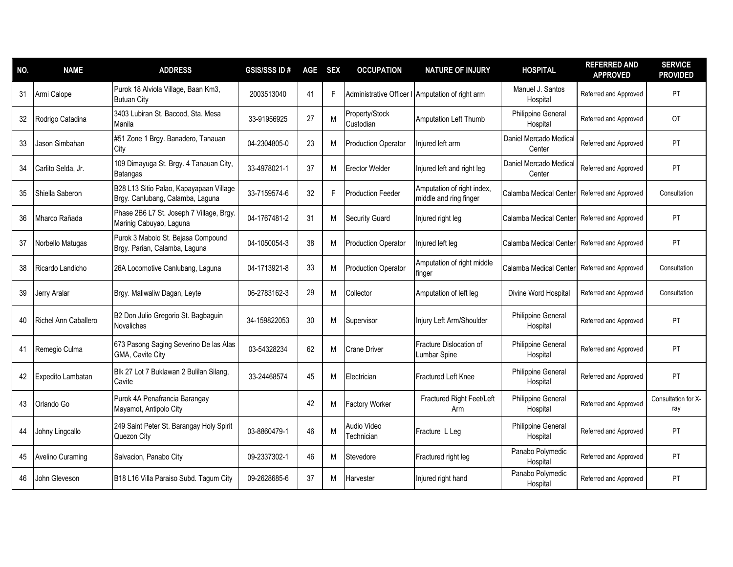| NO. | <b>NAME</b>          | <b>ADDRESS</b>                                                              | <b>GSIS/SSS ID#</b> | <b>AGE</b> | <b>SEX</b> | <b>OCCUPATION</b>           | <b>NATURE OF INJURY</b>                              | <b>HOSPITAL</b>                       | <b>REFERRED AND</b><br><b>APPROVED</b> | <b>SERVICE</b><br><b>PROVIDED</b> |
|-----|----------------------|-----------------------------------------------------------------------------|---------------------|------------|------------|-----------------------------|------------------------------------------------------|---------------------------------------|----------------------------------------|-----------------------------------|
| 31  | Armi Calope          | Purok 18 Alviola Village, Baan Km3,<br><b>Butuan City</b>                   | 2003513040          | 41         | F          |                             | Administrative Officer I Amputation of right arm     | Manuel J. Santos<br>Hospital          | Referred and Approved                  | PT                                |
| 32  | Rodrigo Catadina     | 3403 Lubiran St. Bacood, Sta. Mesa<br>Manila                                | 33-91956925         | 27         | M          | Property/Stock<br>Custodian | Amputation Left Thumb                                | <b>Philippine General</b><br>Hospital | Referred and Approved                  | <b>OT</b>                         |
| 33  | Jason Simbahan       | #51 Zone 1 Brgy. Banadero, Tanauan<br>City                                  | 04-2304805-0        | 23         | M          | <b>Production Operator</b>  | Iniured left arm                                     | Daniel Mercado Medical<br>Center      | Referred and Approved                  | PT                                |
| 34  | Carlito Selda, Jr.   | 109 Dimayuga St. Brgy. 4 Tanauan City,<br>Batangas                          | 33-4978021-1        | 37         | M          | <b>Erector Welder</b>       | Injured left and right leg                           | Daniel Mercado Medical<br>Center      | Referred and Approved                  | PT                                |
| 35  | Shiella Saberon      | B28 L13 Sitio Palao, Kapayapaan Village<br>Brgy. Canlubang, Calamba, Laguna | 33-7159574-6        | 32         | F          | IProduction Feeder          | Amputation of right index,<br>middle and ring finger | Calamba Medical Center                | Referred and Approved                  | Consultation                      |
| 36  | Mharco Rañada        | Phase 2B6 L7 St. Joseph 7 Village, Brgy.<br>Marinig Cabuyao, Laguna         | 04-1767481-2        | 31         | M          | <b>Security Guard</b>       | Injured right leg                                    | Calamba Medical Center                | Referred and Approved                  | PT                                |
| 37  | Norbello Matugas     | Purok 3 Mabolo St. Bejasa Compound<br>Brgy. Parian, Calamba, Laguna         | 04-1050054-3        | 38         | м          | <b>Production Operator</b>  | Injured left leg                                     | Calamba Medical Center                | Referred and Approved                  | PT                                |
| 38  | Ricardo Landicho     | 26A Locomotive Canlubang, Laguna                                            | 04-1713921-8        | 33         | M          | <b>Production Operator</b>  | Amputation of right middle<br>finger                 | Calamba Medical Center                | Referred and Approved                  | Consultation                      |
| 39  | Jerry Aralar         | Brgy. Maliwaliw Dagan, Leyte                                                | 06-2783162-3        | 29         | M          | Collector                   | Amputation of left leg                               | Divine Word Hospital                  | Referred and Approved                  | Consultation                      |
| 40  | Richel Ann Caballero | B2 Don Julio Gregorio St. Bagbaguin<br>Novaliches                           | 34-159822053        | 30         | M          | Supervisor                  | Injury Left Arm/Shoulder                             | <b>Philippine General</b><br>Hospital | Referred and Approved                  | PT                                |
| 41  | Remegio Culma        | 673 Pasong Saging Severino De las Alas<br>GMA. Cavite City                  | 03-54328234         | 62         | M          | <b>Crane Driver</b>         | Fracture Dislocation of<br>Lumbar Spine              | <b>Philippine General</b><br>Hospital | Referred and Approved                  | PT                                |
| 42  | Expedito Lambatan    | Blk 27 Lot 7 Buklawan 2 Bulilan Silang,<br>Cavite                           | 33-24468574         | 45         | M          | Electrician                 | <b>Fractured Left Knee</b>                           | Philippine General<br>Hospital        | Referred and Approved                  | PT                                |
| 43  | Orlando Go           | Purok 4A Penafrancia Barangay<br>Mayamot, Antipolo City                     |                     | 42         | M          | <b>Factory Worker</b>       | Fractured Right Feet/Left<br>Arm                     | <b>Philippine General</b><br>Hospital | Referred and Approved                  | Consultation for X-<br>ray        |
| 44  | Johny Lingcallo      | 249 Saint Peter St. Barangay Holy Spirit<br>Quezon City                     | 03-8860479-1        | 46         | M          | Audio Video<br>Technician   | Fracture L Leg                                       | Philippine General<br>Hospital        | Referred and Approved                  | PT                                |
| 45  | Avelino Curaming     | Salvacion, Panabo City                                                      | 09-2337302-1        | 46         | M          | Stevedore                   | Fractured right leg                                  | Panabo Polymedic<br>Hospital          | Referred and Approved                  | PT                                |
| 46  | John Gleveson        | B18 L16 Villa Paraiso Subd. Tagum City                                      | 09-2628685-6        | 37         | M          | Harvester                   | Injured right hand                                   | Panabo Polymedic<br>Hospital          | Referred and Approved                  | PT                                |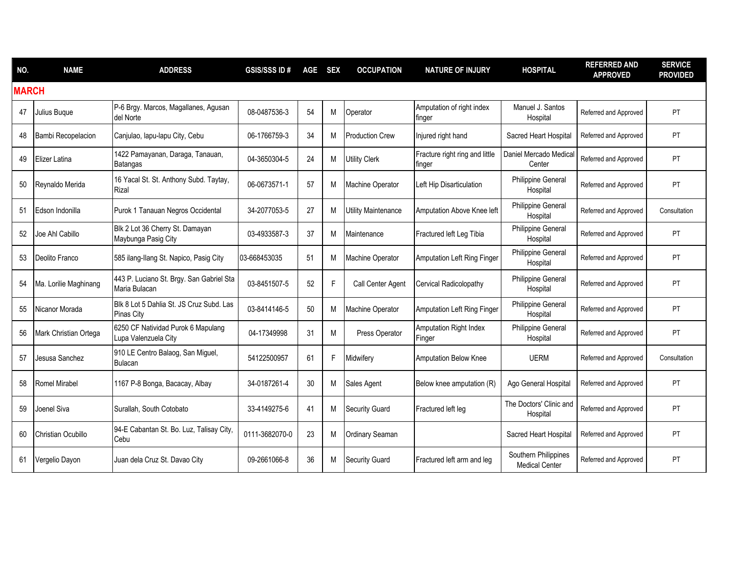| NO.          | <b>NAME</b>               | <b>ADDRESS</b>                                             | <b>GSIS/SSS ID#</b> | AGE | <b>SEX</b> | <b>OCCUPATION</b>          | <b>NATURE OF INJURY</b>                  | <b>HOSPITAL</b>                               | <b>REFERRED AND</b><br><b>APPROVED</b> | <b>SERVICE</b><br><b>PROVIDED</b> |
|--------------|---------------------------|------------------------------------------------------------|---------------------|-----|------------|----------------------------|------------------------------------------|-----------------------------------------------|----------------------------------------|-----------------------------------|
| <b>MARCH</b> |                           |                                                            |                     |     |            |                            |                                          |                                               |                                        |                                   |
| 47           | Julius Buque              | P-6 Brgy. Marcos, Magallanes, Agusan<br>del Norte          | 08-0487536-3        | 54  | M          | Operator                   | Amputation of right index<br>finger      | Manuel J. Santos<br>Hospital                  | Referred and Approved                  | <b>PT</b>                         |
| 48           | <b>Bambi Recopelacion</b> | Canjulao, lapu-lapu City, Cebu                             | 06-1766759-3        | 34  | M          | <b>Production Crew</b>     | Injured right hand                       | Sacred Heart Hospital                         | Referred and Approved                  | PT                                |
| 49           | Elizer Latina             | 1422 Pamayanan, Daraga, Tanauan,<br>Batangas               | 04-3650304-5        | 24  | M          | <b>Utility Clerk</b>       | Fracture right ring and little<br>finger | Daniel Mercado Medical<br>Center              | Referred and Approved                  | PT                                |
| 50           | Reynaldo Merida           | 16 Yacal St. St. Anthony Subd. Taytay,<br>Rizal            | 06-0673571-1        | 57  | M          | <b>Machine Operator</b>    | Left Hip Disarticulation                 | <b>Philippine General</b><br>Hospital         | Referred and Approved                  | PT                                |
| 51           | Edson Indonilla           | Purok 1 Tanauan Negros Occidental                          | 34-2077053-5        | 27  | M          | <b>Utility Maintenance</b> | Amputation Above Knee left               | <b>Philippine General</b><br>Hospital         | Referred and Approved                  | Consultation                      |
| 52           | Joe Ahl Cabillo           | Blk 2 Lot 36 Cherry St. Damayan<br>Maybunga Pasig City     | 03-4933587-3        | 37  | M          | Maintenance                | Fractured left Leg Tibia                 | Philippine General<br>Hospital                | Referred and Approved                  | PT                                |
| 53           | Deolito Franco            | 585 ilang-Ilang St. Napico, Pasig City                     | 03-668453035        | 51  | M          | <b>Machine Operator</b>    | Amputation Left Ring Finger              | Philippine General<br>Hospital                | Referred and Approved                  | PT                                |
| 54           | Ma. Lorilie Maghinang     | 443 P. Luciano St. Brgy. San Gabriel Sta<br>Maria Bulacan  | 03-8451507-5        | 52  | F          | Call Center Agent          | Cervical Radicolopathy                   | <b>Philippine General</b><br>Hospital         | Referred and Approved                  | <b>PT</b>                         |
| 55           | Nicanor Morada            | Blk 8 Lot 5 Dahlia St. JS Cruz Subd. Las<br>Pinas City     | 03-8414146-5        | 50  | M          | <b>Machine Operator</b>    | <b>Amputation Left Ring Finger</b>       | Philippine General<br>Hospital                | Referred and Approved                  | PT                                |
| 56           | Mark Christian Ortega     | 6250 CF Natividad Purok 6 Mapulang<br>Lupa Valenzuela City | 04-17349998         | 31  | M          | Press Operator             | Amputation Right Index<br>Finger         | Philippine General<br>Hospital                | Referred and Approved                  | PT                                |
| 57           | Jesusa Sanchez            | 910 LE Centro Balaog, San Miguel,<br>Bulacan               | 54122500957         | 61  | F          | Midwifery                  | Amputation Below Knee                    | <b>UERM</b>                                   | Referred and Approved                  | Consultation                      |
| 58           | <b>Romel Mirabel</b>      | 1167 P-8 Bonga, Bacacay, Albay                             | 34-0187261-4        | 30  | M          | Sales Agent                | Below knee amputation (R)                | Ago General Hospital                          | Referred and Approved                  | PT                                |
| 59           | Joenel Siva               | Surallah, South Cotobato                                   | 33-4149275-6        | 41  | M          | Security Guard             | Fractured left leg                       | The Doctors' Clinic and<br>Hospital           | Referred and Approved                  | PT                                |
| 60           | Christian Ocubillo        | 94-E Cabantan St. Bo. Luz, Talisay City,<br>Cebu           | 0111-3682070-0      | 23  | M          | Ordinary Seaman            |                                          | Sacred Heart Hospital                         | Referred and Approved                  | PT                                |
| 61           | Vergelio Dayon            | Juan dela Cruz St. Davao City                              | 09-2661066-8        | 36  | M          | <b>Security Guard</b>      | Fractured left arm and leg               | Southern Philippines<br><b>Medical Center</b> | Referred and Approved                  | PT                                |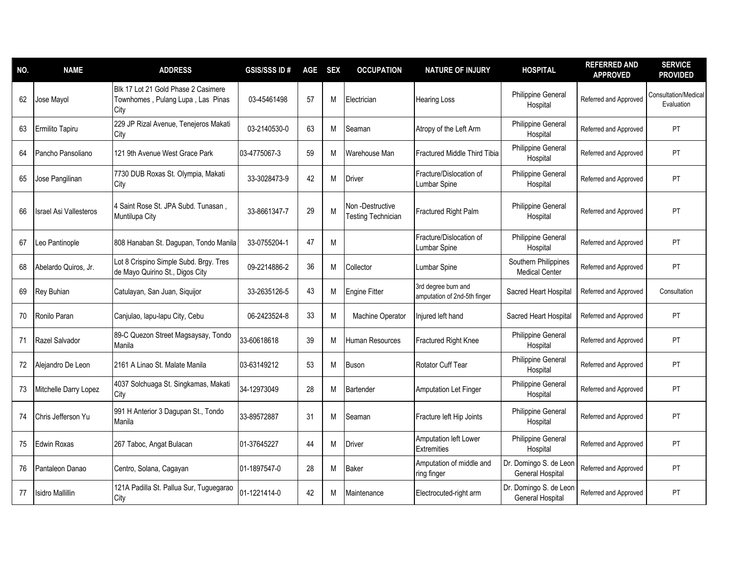| NO. | <b>NAME</b>                   | <b>ADDRESS</b>                                                                   | <b>GSIS/SSSID#</b> | AGE | <b>SEX</b> | <b>OCCUPATION</b>                            | <b>NATURE OF INJURY</b>                             | <b>HOSPITAL</b>                               | <b>REFERRED AND</b><br><b>APPROVED</b> | <b>SERVICE</b><br><b>PROVIDED</b>  |
|-----|-------------------------------|----------------------------------------------------------------------------------|--------------------|-----|------------|----------------------------------------------|-----------------------------------------------------|-----------------------------------------------|----------------------------------------|------------------------------------|
| 62  | Jose Mayol                    | Blk 17 Lot 21 Gold Phase 2 Casimere<br>Townhomes, Pulang Lupa, Las Pinas<br>City | 03-45461498        | 57  | M          | Electrician                                  | <b>Hearing Loss</b>                                 | Philippine General<br>Hospital                | Referred and Approved                  | Consultation/Medical<br>Evaluation |
| 63  | Ermilito Tapiru               | 229 JP Rizal Avenue, Tenejeros Makati<br>City                                    | 03-2140530-0       | 63  | M          | Seaman                                       | Atropy of the Left Arm                              | Philippine General<br>Hospital                | Referred and Approved                  | <b>PT</b>                          |
| 64  | Pancho Pansoliano             | 121 9th Avenue West Grace Park                                                   | 03-4775067-3       | 59  | M          | Warehouse Man                                | <b>Fractured Middle Third Tibia</b>                 | Philippine General<br>Hospital                | Referred and Approved                  | PT                                 |
| 65  | Jose Pangilinan               | 7730 DUB Roxas St. Olympia, Makati<br>City                                       | 33-3028473-9       | 42  | M          | <b>Driver</b>                                | Fracture/Dislocation of<br>Lumbar Spine             | Philippine General<br>Hospital                | Referred and Approved                  | PT                                 |
| 66  | <b>Israel Asi Vallesteros</b> | 4 Saint Rose St. JPA Subd. Tunasan,<br>Muntilupa City                            | 33-8661347-7       | 29  | M          | Non-Destructive<br><b>Testing Technician</b> | Fractured Right Palm                                | <b>Philippine General</b><br>Hospital         | Referred and Approved                  | PT                                 |
| 67  | Leo Pantinople                | 808 Hanaban St. Dagupan, Tondo Manila                                            | 33-0755204-1       | 47  | M          |                                              | Fracture/Dislocation of<br>Lumbar Spine             | Philippine General<br>Hospital                | Referred and Approved                  | PT                                 |
| 68  | Abelardo Quiros, Jr.          | Lot 8 Crispino Simple Subd. Brgy. Tres<br>de Mayo Quirino St., Digos City        | 09-2214886-2       | 36  | M          | Collector                                    | Lumbar Spine                                        | Southern Philippines<br><b>Medical Center</b> | Referred and Approved                  | PT                                 |
| 69  | Rey Buhian                    | Catulayan, San Juan, Siquijor                                                    | 33-2635126-5       | 43  | M          | <b>Engine Fitter</b>                         | 3rd degree burn and<br>amputation of 2nd-5th finger | Sacred Heart Hospital                         | Referred and Approved                  | Consultation                       |
| 70  | Ronilo Paran                  | Canjulao, lapu-lapu City, Cebu                                                   | 06-2423524-8       | 33  | M          | Machine Operator                             | Injured left hand                                   | Sacred Heart Hospital                         | Referred and Approved                  | PT                                 |
| 71  | Razel Salvador                | 89-C Quezon Street Magsaysay, Tondo<br>Manila                                    | 33-60618618        | 39  | M          | Human Resources                              | Fractured Right Knee                                | Philippine General<br>Hospital                | Referred and Approved                  | PT                                 |
| 72  | Alejandro De Leon             | 2161 A Linao St. Malate Manila                                                   | 03-63149212        | 53  | M          | Buson                                        | <b>Rotator Cuff Tear</b>                            | <b>Philippine General</b><br>Hospital         | Referred and Approved                  | <b>PT</b>                          |
| 73  | Mitchelle Darry Lopez         | 4037 Solchuaga St. Singkamas, Makati<br>City                                     | 34-12973049        | 28  | M          | Bartender                                    | <b>Amputation Let Finger</b>                        | <b>Philippine General</b><br>Hospital         | Referred and Approved                  | PT                                 |
| 74  | Chris Jefferson Yu            | 991 H Anterior 3 Dagupan St., Tondo<br>Manila                                    | 33-89572887        | 31  | M          | Seaman                                       | Fracture left Hip Joints                            | Philippine General<br>Hospital                | Referred and Approved                  | PT                                 |
| 75  | Edwin Roxas                   | 267 Taboc, Angat Bulacan                                                         | 01-37645227        | 44  | M          | <b>Driver</b>                                | Amputation left Lower<br><b>Extremities</b>         | Philippine General<br>Hospital                | Referred and Approved                  | PT                                 |
| 76  | Pantaleon Danao               | Centro, Solana, Cagayan                                                          | 01-1897547-0       | 28  | M          | <b>Baker</b>                                 | Amputation of middle and<br>ring finger             | Dr. Domingo S. de Leor<br>General Hospital    | Referred and Approved                  | PT                                 |
| 77  | <b>Isidro Mallillin</b>       | 121A Padilla St. Pallua Sur, Tuguegarao<br>City                                  | 01-1221414-0       | 42  | M          | Maintenance                                  | Electrocuted-right arm                              | Dr. Domingo S. de Leor<br>General Hospital    | Referred and Approved                  | PT                                 |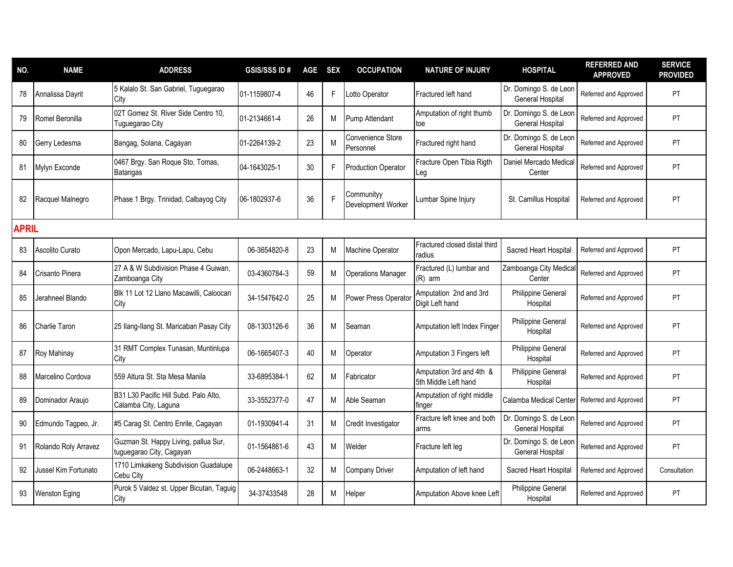| NO.          | <b>NAME</b>          | <b>ADDRESS</b>                                                   | <b>GSIS/SSSID#</b> | AGE | <b>SEX</b> | <b>OCCUPATION</b>                       | <b>NATURE OF INJURY</b>                          | <b>HOSPITAL</b>                                   | <b>REFERRED AND</b><br><b>APPROVED</b> | <b>SERVICE</b><br><b>PROVIDED</b> |
|--------------|----------------------|------------------------------------------------------------------|--------------------|-----|------------|-----------------------------------------|--------------------------------------------------|---------------------------------------------------|----------------------------------------|-----------------------------------|
| 78           | Annalissa Dayrit     | 5 Kalalo St. San Gabriel, Tuguegarao<br>City                     | 01-1159807-4       | 46  | F.         | Lotto Operator                          | Fractured left hand                              | Dr. Domingo S. de Leon<br><b>General Hospital</b> | Referred and Approved                  | <b>PT</b>                         |
| 79           | Romel Beronilla      | 02T Gomez St. River Side Centro 10,<br>Tuguegarao City           | 01-2134661-4       | 26  | M          | Pump Attendant                          | Amputation of right thumb<br>toe                 | Dr. Domingo S. de Leon<br><b>General Hospital</b> | Referred and Approved                  | <b>PT</b>                         |
| 80           | Gerry Ledesma        | Bangag, Solana, Cagayan                                          | 01-2264139-2       | 23  | M          | Convenience Store<br>Personnel          | Fractured right hand                             | Dr. Domingo S. de Leon<br><b>General Hospital</b> | Referred and Approved                  | PT                                |
| 81           | Mylyn Exconde        | 0467 Brgy. San Roque Sto. Tomas,<br><b>Batangas</b>              | 04-1643025-1       | 30  | F          | <b>Production Operator</b>              | Fracture Open Tibia Rigth<br>eg                  | Daniel Mercado Medical<br>Center                  | Referred and Approved                  | <b>PT</b>                         |
| 82           | Racquel Malnegro     | Phase 1 Brgy. Trinidad, Calbayog City                            | 06-1802937-6       | 36  | F          | Communityy<br><b>Development Worker</b> | Lumbar Spine Injury                              | St. Camillus Hospital                             | Referred and Approved                  | PT                                |
| <b>APRIL</b> |                      |                                                                  |                    |     |            |                                         |                                                  |                                                   |                                        |                                   |
| 83           | Ascolito Curato      | Opon Mercado, Lapu-Lapu, Cebu                                    | 06-3654820-8       | 23  | M          | <b>Machine Operator</b>                 | Fractured closed distal third<br>radius          | Sacred Heart Hospital                             | Referred and Approved                  | PT                                |
| 84           | Crisanto Pinera      | 27 A & W Subdivision Phase 4 Guiwan,<br>Zamboanga City           | 03-4360784-3       | 59  | M          | <b>Operations Manager</b>               | Fractured (L) lumbar and<br>(R) arm              | Zamboanga City Medical<br>Center                  | Referred and Approved                  | PT.                               |
| 85           | Jerahneel Blando     | Blk 11 Lot 12 Llano Macawilli, Caloocan<br>City                  | 34-1547642-0       | 25  | M          | Power Press Operator                    | Amputation 2nd and 3rd<br>Digit Left hand        | Philippine General<br>Hospital                    | Referred and Approved                  | PT                                |
| 86           | Charlie Taron        | 25 Ilang-Ilang St. Maricaban Pasay City                          | 08-1303126-6       | 36  | M          | Seaman                                  | Amputation left Index Finger                     | <b>Philippine General</b><br>Hospital             | Referred and Approved                  | <b>PT</b>                         |
| 87           | Roy Mahinay          | 31 RMT Complex Tunasan, Muntinlupa<br>City                       | 06-1665407-3       | 40  | M          | Operator                                | Amputation 3 Fingers left                        | Philippine General<br>Hospital                    | Referred and Approved                  | PT                                |
| 88           | Marcelino Cordova    | 559 Altura St. Sta Mesa Manila                                   | 33-6895384-1       | 62  | M          | Fabricator                              | Amputation 3rd and 4th &<br>5th Middle Left hand | Philippine General<br>Hospital                    | Referred and Approved                  | <b>PT</b>                         |
| 89           | Dominador Araujo     | B31 L30 Pacific Hill Subd. Palo Alto,<br>Calamba City, Laguna    | 33-3552377-0       | 47  | M          | Able Seaman                             | Amputation of right middle<br>finger             | Calamba Medical Center                            | Referred and Approved                  | PT                                |
| 90           | Edmundo Tagpeo, Jr.  | #5 Carag St. Centro Enrile, Cagayan                              | 01-1930941-4       | 31  | M          | Credit Investigator                     | Fracture left knee and both<br>arms              | Dr. Domingo S. de Leon<br><b>General Hospital</b> | Referred and Approved                  | <b>PT</b>                         |
| 91           | Rolando Roly Arravez | Guzman St. Happy Living, pallua Sur,<br>tuguegarao City, Cagayan | 01-1564861-6       | 43  | M          | Welder                                  | Fracture left leg                                | Dr. Domingo S. de Leon<br>General Hospital        | Referred and Approved                  | PT                                |
| 92           | Jussel Kim Fortunato | 1710 Limkakeng Subdivision Guadalupe<br>Cebu City                | 06-2448663-1       | 32  | М          | Company Driver                          | Amputation of left hand                          | Sacred Heart Hospital                             | Referred and Approved                  | Consultation                      |
| 93           | Wenston Eging        | Purok 5 Valdez st. Upper Bicutan, Taguig<br>City                 | 34-37433548        | 28  | М          | Helper                                  | Amputation Above knee Left                       | Philippine General<br>Hospital                    | Referred and Approved                  | PT                                |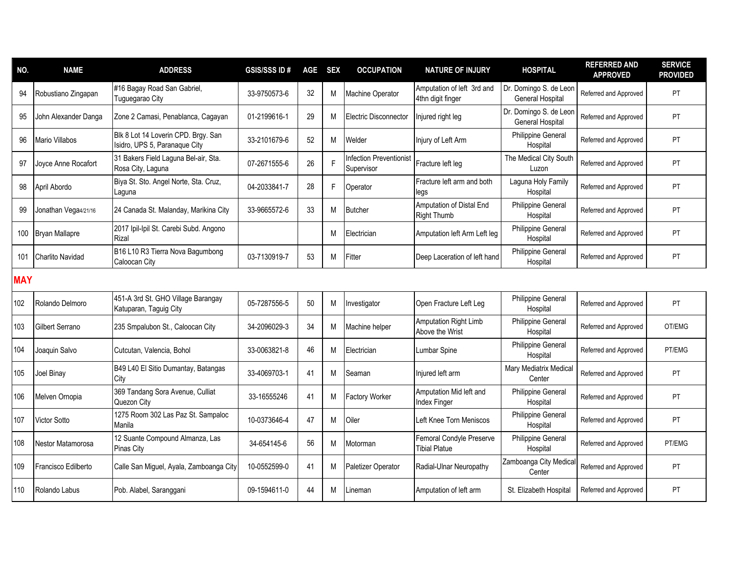| NO.        | <b>NAME</b>           | <b>ADDRESS</b>                                                       | <b>GSIS/SSS ID#</b> | <b>AGE</b> | <b>SEX</b> | <b>OCCUPATION</b>                            | <b>NATURE OF INJURY</b>                          | <b>HOSPITAL</b>                            | <b>REFERRED AND</b><br><b>APPROVED</b> | <b>SERVICE</b><br><b>PROVIDED</b> |
|------------|-----------------------|----------------------------------------------------------------------|---------------------|------------|------------|----------------------------------------------|--------------------------------------------------|--------------------------------------------|----------------------------------------|-----------------------------------|
| 94         | Robustiano Zingapan   | #16 Bagay Road San Gabriel,<br>Tuguegarao City                       | 33-9750573-6        | 32         | M          | Machine Operator                             | Amputation of left 3rd and<br>4thn digit finger  | Dr. Domingo S. de Leon<br>General Hospital | Referred and Approved                  | PT                                |
| 95         | John Alexander Danga  | Zone 2 Camasi, Penablanca, Cagayan                                   | 01-2199616-1        | 29         | M          | Electric Disconnector                        | Injured right leg                                | Dr. Domingo S. de Leon<br>General Hospital | Referred and Approved                  | <b>PT</b>                         |
| 96         | <b>Mario Villabos</b> | Blk 8 Lot 14 Loverin CPD. Brgy. San<br>Isidro, UPS 5, Paranaque City | 33-2101679-6        | 52         | M          | Welder                                       | Injury of Left Arm                               | Philippine General<br>Hospital             | Referred and Approved                  | <b>PT</b>                         |
| 97         | Joyce Anne Rocafort   | 31 Bakers Field Laguna Bel-air, Sta.<br>Rosa City, Laguna            | 07-2671555-6        | 26         | F          | <b>Infection Preventionist</b><br>Supervisor | Fracture left leg                                | The Medical City South<br>Luzon            | Referred and Approved                  | <b>PT</b>                         |
| 98         | April Abordo          | Biya St. Sto. Angel Norte, Sta. Cruz,<br>Laguna                      | 04-2033841-7        | 28         | F          | Operator                                     | Fracture left arm and both<br>legs               | Laguna Holy Family<br>Hospital             | Referred and Approved                  | <b>PT</b>                         |
| 99         | Jonathan Vega4/21/16  | 24 Canada St. Malanday, Marikina City                                | 33-9665572-6        | 33         | M          | <b>Butcher</b>                               | Amputation of Distal End<br><b>Right Thumb</b>   | <b>Philippine General</b><br>Hospital      | Referred and Approved                  | PT                                |
| 100        | <b>Bryan Mallapre</b> | 2017 Ipil-Ipil St. Carebi Subd. Angono<br>Rizal                      |                     |            | M          | Electrician                                  | Amputation left Arm Left leg                     | Philippine General<br>Hospital             | Referred and Approved                  | PT                                |
| 101        | Charlito Navidad      | B16 L10 R3 Tierra Nova Bagumbong<br>Caloocan City                    | 03-7130919-7        | 53         | M          | Fitter                                       | Deep Laceration of left hand                     | Philippine General<br>Hospital             | Referred and Approved                  | <b>PT</b>                         |
| <b>MAY</b> |                       |                                                                      |                     |            |            |                                              |                                                  |                                            |                                        |                                   |
| 102        | Rolando Delmoro       | 451-A 3rd St. GHO Village Barangay<br>Katuparan, Taguig City         | 05-7287556-5        | 50         | M          | Investigator                                 | Open Fracture Left Leg                           | Philippine General<br>Hospital             | Referred and Approved                  | <b>PT</b>                         |
| 103        | Gilbert Serrano       | 235 Smpalubon St., Caloocan City                                     | 34-2096029-3        | 34         | M          | Machine helper                               | <b>Amputation Right Limb</b><br>Above the Wrist  | Philippine General<br>Hospital             | Referred and Approved                  | OT/EMG                            |
| 104        | Joaquin Salvo         | Cutcutan, Valencia, Bohol                                            | 33-0063821-8        | 46         | M          | Electrician                                  | Lumbar Spine                                     | Philippine General<br>Hospital             | Referred and Approved                  | PT/EMG                            |
| 105        | Joel Binay            | B49 L40 El Sitio Dumantay, Batangas<br>City                          | 33-4069703-1        | 41         | M          | Seaman                                       | Injured left arm                                 | Mary Mediatrix Medical<br>Center           | Referred and Approved                  | PT.                               |
| 106        | Melven Ornopia        | 369 Tandang Sora Avenue, Culliat<br>Quezon City                      | 33-16555246         | 41         | M          | <b>Factory Worker</b>                        | Amputation Mid left and<br>Index Finger          | <b>Philippine General</b><br>Hospital      | Referred and Approved                  | PT                                |
| 107        | Victor Sotto          | 1275 Room 302 Las Paz St. Sampaloc<br>Manila                         | 10-0373646-4        | 47         | M          | Oiler                                        | Left Knee Torn Meniscos                          | Philippine General<br>Hospital             | Referred and Approved                  | <b>PT</b>                         |
| 108        | Nestor Matamorosa     | 12 Suante Compound Almanza, Las<br><b>Pinas City</b>                 | 34-654145-6         | 56         | M          | Motorman                                     | Femoral Condyle Preserve<br><b>Tibial Platue</b> | Philippine General<br>Hospital             | Referred and Approved                  | PT/EMG                            |
| 109        | Francisco Edilberto   | Calle San Miguel, Ayala, Zamboanga City                              | 10-0552599-0        | 41         | M          | Paletizer Operator                           | Radial-Ulnar Neuropathy                          | Zamboanga City Medical<br>Center           | Referred and Approved                  | PT                                |
| 110        | Rolando Labus         | Pob. Alabel, Saranggani                                              | 09-1594611-0        | 44         | M          | Lineman                                      | Amputation of left arm                           | St. Elizabeth Hospital                     | Referred and Approved                  | <b>PT</b>                         |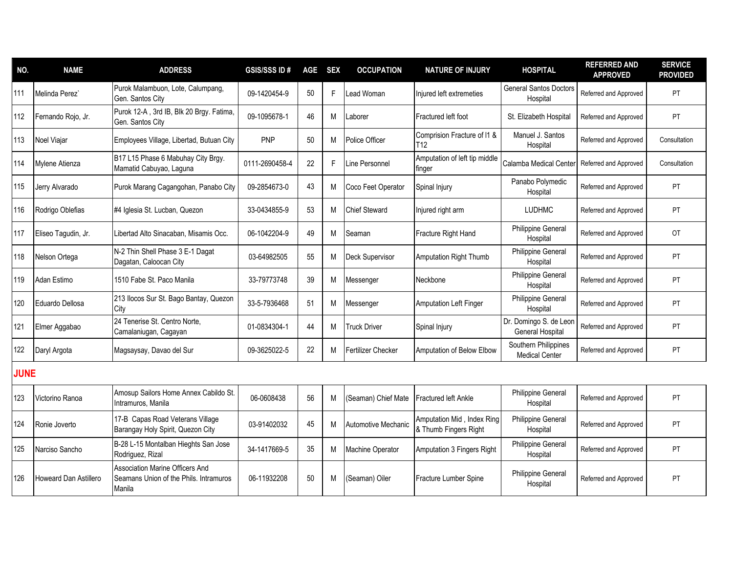| NO.         | <b>NAME</b>                  | <b>ADDRESS</b>                                                                             | <b>GSIS/SSS ID#</b> | <b>AGE</b> | <b>SEX</b> | <b>OCCUPATION</b>         | <b>NATURE OF INJURY</b>                             | <b>HOSPITAL</b>                               | <b>REFERRED AND</b><br><b>APPROVED</b> | <b>SERVICE</b><br><b>PROVIDED</b> |
|-------------|------------------------------|--------------------------------------------------------------------------------------------|---------------------|------------|------------|---------------------------|-----------------------------------------------------|-----------------------------------------------|----------------------------------------|-----------------------------------|
| 111         | Melinda Perez`               | Purok Malambuon, Lote, Calumpang,<br>Gen. Santos City                                      | 09-1420454-9        | 50         | F          | Lead Woman                | Injured left extremeties                            | <b>General Santos Doctors</b><br>Hospital     | Referred and Approved                  | PT                                |
| 112         | Fernando Rojo, Jr.           | Purok 12-A, 3rd IB, Blk 20 Brgy. Fatima,<br>Gen. Santos City                               | 09-1095678-1        | 46         | M          | .aborer                   | Fractured left foot                                 | St. Elizabeth Hospital                        | Referred and Approved                  | PT                                |
| 113         | Noel Viajar                  | Employees Village, Libertad, Butuan City                                                   | PNP                 | 50         | M          | Police Officer            | Comprision Fracture of I1 &<br>T12                  | Manuel J. Santos<br>Hospital                  | Referred and Approved                  | Consultation                      |
| 114         | Mylene Atienza               | B17 L15 Phase 6 Mabuhay City Brgy.<br>Mamatid Cabuyao, Laguna                              | 0111-2690458-4      | 22         | F          | Line Personnel            | Amputation of left tip middle<br>finger             | Calamba Medical Center                        | Referred and Approved                  | Consultation                      |
| 115         | Jerry Alvarado               | Purok Marang Cagangohan, Panabo City                                                       | 09-2854673-0        | 43         | M          | Coco Feet Operator        | Spinal Injury                                       | Panabo Polymedic<br>Hospital                  | Referred and Approved                  | PT                                |
| 116         | Rodrigo Oblefias             | #4 Iglesia St. Lucban, Quezon                                                              | 33-0434855-9        | 53         | M          | <b>Chief Steward</b>      | Injured right arm                                   | <b>LUDHMC</b>                                 | Referred and Approved                  | <b>PT</b>                         |
| 117         | Eliseo Tagudin, Jr.          | Libertad Alto Sinacaban, Misamis Occ.                                                      | 06-1042204-9        | 49         | M          | Seaman                    | Fracture Right Hand                                 | <b>Philippine General</b><br>Hospital         | Referred and Approved                  | <b>OT</b>                         |
| 118         | Nelson Ortega                | N-2 Thin Shell Phase 3 E-1 Dagat<br>Dagatan, Caloocan City                                 | 03-64982505         | 55         | M          | Deck Supervisor           | Amputation Right Thumb                              | <b>Philippine General</b><br>Hospital         | Referred and Approved                  | <b>PT</b>                         |
| 119         | Adan Estimo                  | 1510 Fabe St. Paco Manila                                                                  | 33-79773748         | 39         | M          | Messenger                 | Neckbone                                            | <b>Philippine General</b><br>Hospital         | Referred and Approved                  | PT                                |
| 120         | Eduardo Dellosa              | 213 Ilocos Sur St. Bago Bantay, Quezon<br>City                                             | 33-5-7936468        | 51         | M          | Messenger                 | <b>Amputation Left Finger</b>                       | <b>Philippine General</b><br>Hospital         | Referred and Approved                  | PT                                |
| 121         | Elmer Aggabao                | 24 Tenerise St. Centro Norte,<br>Camalaniugan, Cagayan                                     | 01-0834304-1        | 44         | M          | <b>Truck Driver</b>       | Spinal Injury                                       | Dr. Domingo S. de Leon<br>General Hospital    | Referred and Approved                  | <b>PT</b>                         |
| 122         | Daryl Argota                 | Magsaysay, Davao del Sur                                                                   | 09-3625022-5        | 22         | M          | <b>Fertilizer Checker</b> | Amputation of Below Elbow                           | Southern Philippines<br><b>Medical Center</b> | Referred and Approved                  | <b>PT</b>                         |
| <b>JUNE</b> |                              |                                                                                            |                     |            |            |                           |                                                     |                                               |                                        |                                   |
| 123         | Victorino Ranoa              | Amosup Sailors Home Annex Cabildo St.<br>Intramuros, Manila                                | 06-0608438          | 56         | M          | (Seaman) Chief Mate       | Fractured left Ankle                                | Philippine General<br>Hospital                | Referred and Approved                  | <b>PT</b>                         |
| 124         | Ronie Joverto                | 17-B Capas Road Veterans Village<br>Barangay Holy Spirit, Quezon City                      | 03-91402032         | 45         | M          | Automotive Mechanic       | Amputation Mid, Index Ring<br>& Thumb Fingers Right | Philippine General<br>Hospital                | Referred and Approved                  | <b>PT</b>                         |
| 125         | Narciso Sancho               | B-28 L-15 Montalban Hieghts San Jose<br>Rodriguez, Rizal                                   | 34-1417669-5        | 35         | M          | Machine Operator          | Amputation 3 Fingers Right                          | Philippine General<br>Hospital                | Referred and Approved                  | PT.                               |
| 126         | <b>Howeard Dan Astillero</b> | <b>Association Marine Officers And</b><br>Seamans Union of the Phils, Intramuros<br>Manila | 06-11932208         | 50         | M          | (Seaman) Oiler            | Fracture Lumber Spine                               | Philippine General<br>Hospital                | Referred and Approved                  | PT.                               |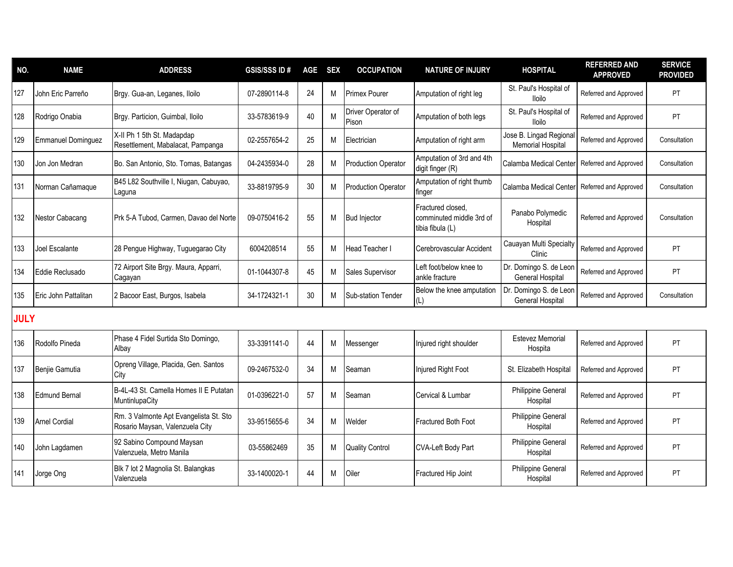| NO.         | <b>NAME</b>               | <b>ADDRESS</b>                                                            | <b>GSIS/SSS ID#</b> | AGE SEX |   | <b>OCCUPATION</b>           | <b>NATURE OF INJURY</b>                                           | <b>HOSPITAL</b>                                    | <b>REFERRED AND</b><br><b>APPROVED</b> | <b>SERVICE</b><br><b>PROVIDED</b> |
|-------------|---------------------------|---------------------------------------------------------------------------|---------------------|---------|---|-----------------------------|-------------------------------------------------------------------|----------------------------------------------------|----------------------------------------|-----------------------------------|
| 127         | John Eric Parreño         | Brgy. Gua-an, Leganes, Iloilo                                             | 07-2890114-8        | 24      | м | <b>Primex Pourer</b>        | Amputation of right leg                                           | St. Paul's Hospital of<br><b>Iloilo</b>            | Referred and Approved                  | PT                                |
| 128         | Rodrigo Onabia            | Brgy. Particion, Guimbal, Iloilo                                          | 33-5783619-9        | 40      | M | Driver Operator of<br>Pison | Amputation of both legs                                           | St. Paul's Hospital of<br><b>Iloilo</b>            | Referred and Approved                  | PT                                |
| 129         | <b>Emmanuel Dominguez</b> | X-II Ph 1 5th St. Madapdap<br>Resettlement, Mabalacat, Pampanga           | 02-2557654-2        | 25      | M | Electrician                 | Amputation of right arm                                           | Jose B. Lingad Regiona<br><b>Memorial Hospital</b> | Referred and Approved                  | Consultation                      |
| 130         | Jon Jon Medran            | Bo. San Antonio, Sto. Tomas, Batangas                                     | 04-2435934-0        | 28      | M | <b>Production Operator</b>  | Amputation of 3rd and 4th<br>digit finger (R)                     | Calamba Medical Center                             | Referred and Approved                  | Consultation                      |
| 131         | Norman Cañamaque          | B45 L82 Southville I, Niugan, Cabuyao,<br>Laguna                          | 33-8819795-9        | 30      | M | <b>Production Operator</b>  | Amputation of right thumb<br>finger                               | Calamba Medical Center                             | Referred and Approved                  | Consultation                      |
| 132         | Nestor Cabacang           | Prk 5-A Tubod, Carmen, Davao del Norte                                    | 09-0750416-2        | 55      | M | <b>Bud Injector</b>         | Fractured closed,<br>comminuted middle 3rd of<br>tibia fibula (L) | Panabo Polymedic<br>Hospital                       | Referred and Approved                  | Consultation                      |
| 133         | Joel Escalante            | 28 Pengue Highway, Tuguegarao City                                        | 6004208514          | 55      | M | <b>Head Teacher I</b>       | Cerebrovascular Accident                                          | Cauayan Multi Specialty<br>Clinic                  | Referred and Approved                  | PT                                |
| 134         | Eddie Reclusado           | 72 Airport Site Brgy. Maura, Apparri,<br>Cagayan                          | 01-1044307-8        | 45      | M | Sales Supervisor            | Left foot/below knee to<br>ankle fracture                         | Dr. Domingo S. de Leon<br>General Hospital         | Referred and Approved                  | PT                                |
| 135         | Eric John Pattalitan      | 2 Bacoor East, Burgos, Isabela                                            | 34-1724321-1        | 30      | M | <b>Sub-station Tender</b>   | Below the knee amputation<br>(L)                                  | Dr. Domingo S. de Leon<br>General Hospital         | Referred and Approved                  | Consultation                      |
| <b>JULY</b> |                           |                                                                           |                     |         |   |                             |                                                                   |                                                    |                                        |                                   |
| 136         | Rodolfo Pineda            | Phase 4 Fidel Surtida Sto Domingo,<br>Albav                               | 33-3391141-0        | 44      | M | Messenger                   | Injured right shoulder                                            | Estevez Memorial<br>Hospita                        | Referred and Approved                  | PT                                |
| 137         | Benjie Gamutia            | Opreng Village, Placida, Gen. Santos<br>City                              | 09-2467532-0        | 34      | M | Seaman                      | Injured Right Foot                                                | St. Elizabeth Hospital                             | Referred and Approved                  | PT                                |
| 138         | <b>Edmund Bernal</b>      | B-4L-43 St. Camella Homes II E Putatan<br>MuntinlupaCity                  | 01-0396221-0        | 57      | M | Seaman                      | Cervical & Lumbar                                                 | Philippine General<br>Hospital                     | Referred and Approved                  | PT                                |
| 139         | <b>Arnel Cordial</b>      | Rm. 3 Valmonte Apt Evangelista St. Sto<br>Rosario Maysan, Valenzuela City | 33-9515655-6        | 34      | M | Welder                      | Fractured Both Foot                                               | Philippine General<br>Hospital                     | Referred and Approved                  | PT                                |
| 140         | John Lagdamen             | 92 Sabino Compound Maysan<br>Valenzuela, Metro Manila                     | 03-55862469         | 35      | M | <b>Quality Control</b>      | CVA-Left Body Part                                                | <b>Philippine General</b><br>Hospital              | Referred and Approved                  | PT                                |
| 141         | Jorge Ong                 | Blk 7 lot 2 Magnolia St. Balangkas<br>Valenzuela                          | 33-1400020-1        | 44      | M | Oiler                       | Fractured Hip Joint                                               | <b>Philippine General</b><br>Hospital              | Referred and Approved                  | PT                                |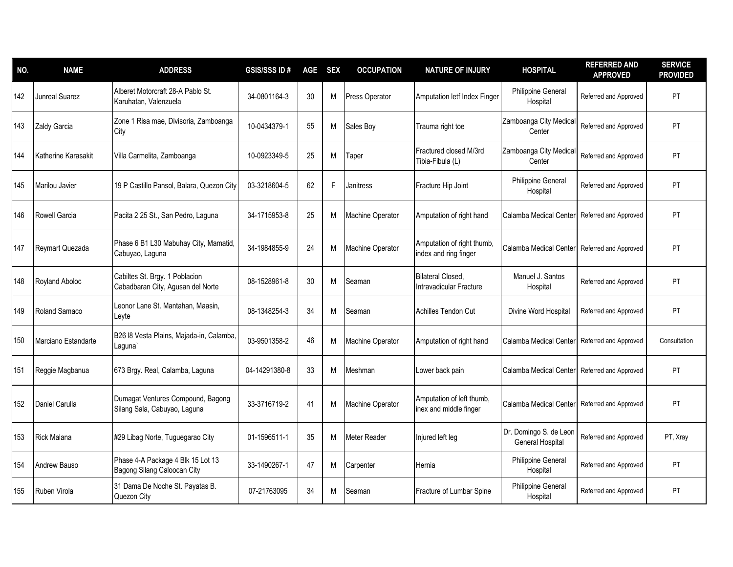| NO. | <b>NAME</b>         | <b>ADDRESS</b>                                                      | <b>GSIS/SSSID#</b> | AGE | <b>SEX</b> | <b>OCCUPATION</b>       | <b>NATURE OF INJURY</b>                             | <b>HOSPITAL</b>                            | <b>REFERRED AND</b><br><b>APPROVED</b> | <b>SERVICE</b><br><b>PROVIDED</b> |
|-----|---------------------|---------------------------------------------------------------------|--------------------|-----|------------|-------------------------|-----------------------------------------------------|--------------------------------------------|----------------------------------------|-----------------------------------|
| 142 | Junreal Suarez      | Alberet Motorcraft 28-A Pablo St.<br>Karuhatan, Valenzuela          | 34-0801164-3       | 30  | M          | <b>Press Operator</b>   | Amputation letf Index Finger                        | Philippine General<br>Hospital             | Referred and Approved                  | PT                                |
| 143 | Zaldy Garcia        | Zone 1 Risa mae, Divisoria, Zamboanga<br>City                       | 10-0434379-1       | 55  | M          | Sales Boy               | Trauma right toe                                    | Zamboanga City Medica<br>Center            | Referred and Approved                  | PT                                |
| 144 | Katherine Karasakit | Villa Carmelita, Zamboanga                                          | 10-0923349-5       | 25  | M          | Taper                   | Fractured closed M/3rd<br>Tibia-Fibula (L)          | Zamboanga City Medica<br>Center            | Referred and Approved                  | PT                                |
| 145 | Marilou Javier      | 19 P Castillo Pansol, Balara, Quezon City                           | 03-3218604-5       | 62  | F          | <b>Janitress</b>        | Fracture Hip Joint                                  | Philippine General<br>Hospital             | Referred and Approved                  | PT                                |
| 146 | Rowell Garcia       | Pacita 2 25 St., San Pedro, Laguna                                  | 34-1715953-8       | 25  | M          | Machine Operator        | Amputation of right hand                            | Calamba Medical Center                     | Referred and Approved                  | PT                                |
| 147 | Reymart Quezada     | Phase 6 B1 L30 Mabuhay City, Mamatid,<br>Cabuyao, Laguna            | 34-1984855-9       | 24  | M          | Machine Operator        | Amputation of right thumb,<br>index and ring finger | Calamba Medical Center                     | Referred and Approved                  | <b>PT</b>                         |
| 148 | Royland Aboloc      | Cabiltes St. Brgy. 1 Poblacion<br>Cabadbaran City, Agusan del Norte | 08-1528961-8       | 30  | M          | Seaman                  | <b>Bilateral Closed,</b><br>Intravadicular Fracture | Manuel J. Santos<br>Hospital               | Referred and Approved                  | <b>PT</b>                         |
| 149 | Roland Samaco       | Leonor Lane St. Mantahan, Maasin,<br>Leyte                          | 08-1348254-3       | 34  | M          | Seaman                  | <b>Achilles Tendon Cut</b>                          | Divine Word Hospital                       | Referred and Approved                  | PT                                |
| 150 | Marciano Estandarte | B26 I8 Vesta Plains, Majada-in, Calamba,<br>Laguna`                 | 03-9501358-2       | 46  | M          | <b>Machine Operator</b> | Amputation of right hand                            | Calamba Medical Center                     | Referred and Approved                  | Consultation                      |
| 151 | Reggie Magbanua     | 673 Brgy. Real, Calamba, Laguna                                     | 04-14291380-8      | 33  | M          | Meshman                 | Lower back pain                                     | Calamba Medical Center                     | Referred and Approved                  | PT                                |
| 152 | Daniel Carulla      | Dumagat Ventures Compound, Bagong<br>Silang Sala, Cabuyao, Laguna   | 33-3716719-2       | 41  | M          | <b>Machine Operator</b> | Amputation of left thumb,<br>inex and middle finger | Calamba Medical Center                     | Referred and Approved                  | PT                                |
| 153 | <b>Rick Malana</b>  | #29 Libag Norte, Tuguegarao City                                    | 01-1596511-1       | 35  | M          | Meter Reader            | Injured left leg                                    | Dr. Domingo S. de Leor<br>General Hospital | Referred and Approved                  | PT, Xray                          |
| 154 | Andrew Bauso        | Phase 4-A Package 4 Blk 15 Lot 13<br>Bagong Silang Caloocan City    | 33-1490267-1       | 47  | M          | Carpenter               | Hernia                                              | Philippine General<br>Hospital             | Referred and Approved                  | <b>PT</b>                         |
| 155 | Ruben Virola        | 31 Dama De Noche St. Payatas B.<br>Quezon City                      | 07-21763095        | 34  | M          | Seaman                  | Fracture of Lumbar Spine                            | Philippine General<br>Hospital             | Referred and Approved                  | PT                                |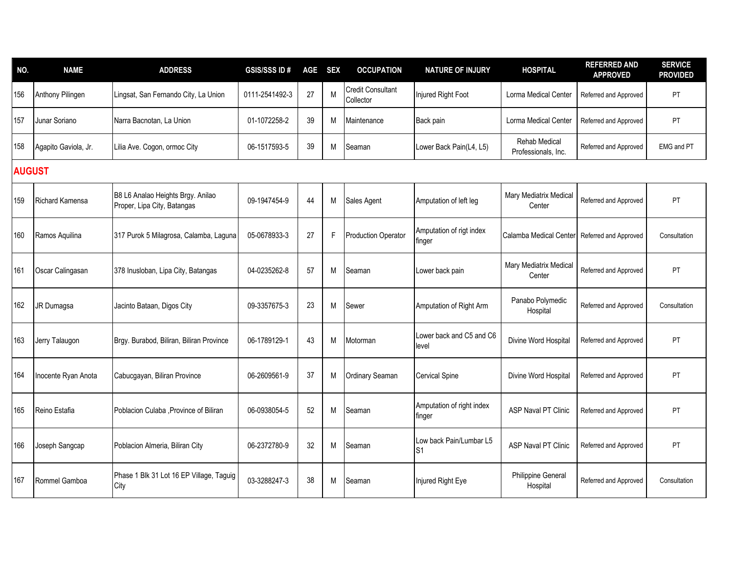| NO.           | <b>NAME</b>          | <b>ADDRESS</b>                                                   | <b>GSIS/SSS ID#</b> | <b>AGE</b> | <b>SEX</b> | <b>OCCUPATION</b>                     | <b>NATURE OF INJURY</b>                   | <b>HOSPITAL</b>                             | <b>REFERRED AND</b><br><b>APPROVED</b> | <b>SERVICE</b><br><b>PROVIDED</b> |
|---------------|----------------------|------------------------------------------------------------------|---------------------|------------|------------|---------------------------------------|-------------------------------------------|---------------------------------------------|----------------------------------------|-----------------------------------|
| 156           | Anthony Pilingen     | Lingsat, San Fernando City, La Union                             | 0111-2541492-3      | 27         | M          | <b>Credit Consultant</b><br>Collector | Injured Right Foot                        | Lorma Medical Center                        | Referred and Approved                  | PT                                |
| 157           | Junar Soriano        | Narra Bacnotan, La Union                                         | 01-1072258-2        | 39         | М          | Maintenance                           | Back pain                                 | Lorma Medical Center                        | Referred and Approved                  | <b>PT</b>                         |
| 158           | Agapito Gaviola, Jr. | Lilia Ave. Cogon, ormoc City                                     | 06-1517593-5        | 39         | М          | Seaman                                | Lower Back Pain(L4, L5)                   | <b>Rehab Medical</b><br>Professionals, Inc. | Referred and Approved                  | EMG and PT                        |
| <b>AUGUST</b> |                      |                                                                  |                     |            |            |                                       |                                           |                                             |                                        |                                   |
| 159           | Richard Kamensa      | B8 L6 Analao Heights Brgy. Anilao<br>Proper, Lipa City, Batangas | 09-1947454-9        | 44         | M          | Sales Agent                           | Amputation of left leg                    | Mary Mediatrix Medical<br>Center            | Referred and Approved                  | ${\sf PT}$                        |
| 160           | Ramos Aquilina       | 317 Purok 5 Milagrosa, Calamba, Laguna                           | 05-0678933-3        | 27         | F          | <b>Production Operator</b>            | Amputation of rigt index<br>finger        | Calamba Medical Center                      | Referred and Approved                  | Consultation                      |
| 161           | Oscar Calingasan     | 378 Inusloban, Lipa City, Batangas                               | 04-0235262-8        | 57         | M          | Seaman                                | Lower back pain                           | Mary Mediatrix Medical<br>Center            | Referred and Approved                  | <b>PT</b>                         |
| 162           | JR Dumagsa           | Jacinto Bataan, Digos City                                       | 09-3357675-3        | 23         | M          | Sewer                                 | Amputation of Right Arm                   | Panabo Polymedic<br>Hospital                | Referred and Approved                  | Consultation                      |
| 163           | Jerry Talaugon       | Brgy. Burabod, Biliran, Biliran Province                         | 06-1789129-1        | 43         | M          | Motorman                              | Lower back and C5 and C6<br>level         | Divine Word Hospital                        | Referred and Approved                  | PT                                |
| 164           | Inocente Ryan Anota  | Cabucgayan, Biliran Province                                     | 06-2609561-9        | 37         | M          | Ordinary Seaman                       | Cervical Spine                            | Divine Word Hospital                        | Referred and Approved                  | PT                                |
| 165           | Reino Estafia        | Poblacion Culaba , Province of Biliran                           | 06-0938054-5        | 52         | M          | Seaman                                | Amputation of right index<br>finger       | <b>ASP Naval PT Clinic</b>                  | Referred and Approved                  | PT                                |
| 166           | Joseph Sangcap       | Poblacion Almeria, Biliran City                                  | 06-2372780-9        | 32         | M          | Seaman                                | Low back Pain/Lumbar L5<br>S <sub>1</sub> | <b>ASP Naval PT Clinic</b>                  | Referred and Approved                  | PT                                |
| 167           | Rommel Gamboa        | Phase 1 Blk 31 Lot 16 EP Village, Taguig<br>City                 | 03-3288247-3        | 38         | M          | Seaman                                | Injured Right Eye                         | <b>Philippine General</b><br>Hospital       | Referred and Approved                  | Consultation                      |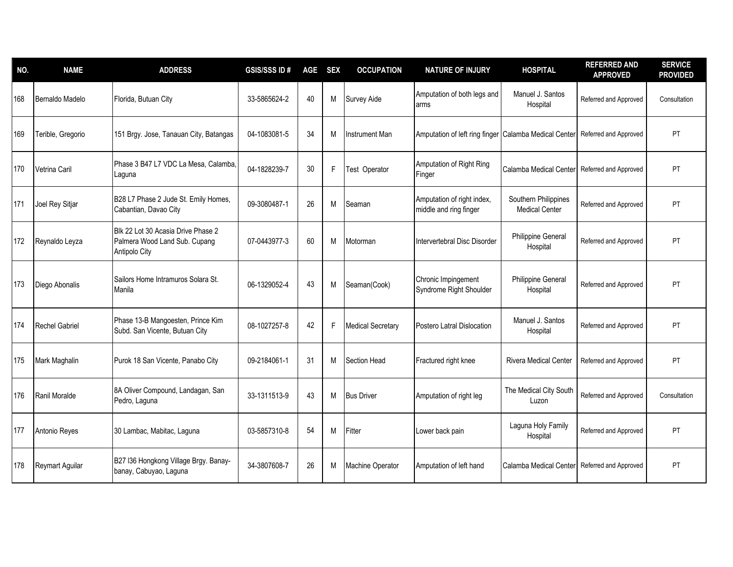| NO. | <b>NAME</b>            | <b>ADDRESS</b>                                                                       | <b>GSIS/SSS ID#</b> | <b>AGE</b> | <b>SEX</b> | <b>OCCUPATION</b>     | <b>NATURE OF INJURY</b>                               | <b>HOSPITAL</b>                               | <b>REFERRED AND</b><br><b>APPROVED</b> | <b>SERVICE</b><br><b>PROVIDED</b> |
|-----|------------------------|--------------------------------------------------------------------------------------|---------------------|------------|------------|-----------------------|-------------------------------------------------------|-----------------------------------------------|----------------------------------------|-----------------------------------|
| 168 | Bernaldo Madelo        | Florida, Butuan City                                                                 | 33-5865624-2        | 40         | М          | Survey Aide           | Amputation of both legs and<br>arms                   | Manuel J. Santos<br>Hospital                  | Referred and Approved                  | Consultation                      |
| 169 | Terible, Gregorio      | 151 Brgy. Jose, Tanauan City, Batangas                                               | 04-1083081-5        | 34         | M          | <b>Instrument Man</b> | Amputation of left ring finger Calamba Medical Center |                                               | Referred and Approved                  | PT                                |
| 170 | Vetrina Caril          | Phase 3 B47 L7 VDC La Mesa, Calamba<br>Laguna                                        | 04-1828239-7        | 30         | F          | Test Operator         | Amputation of Right Ring<br>Finger                    | Calamba Medical Center                        | Referred and Approved                  | PT                                |
| 171 | Joel Rey Sitjar        | B28 L7 Phase 2 Jude St. Emily Homes,<br>Cabantian, Davao City                        | 09-3080487-1        | 26         | M          | Seaman                | Amputation of right index,<br>middle and ring finger  | Southern Philippines<br><b>Medical Center</b> | Referred and Approved                  | PT                                |
| 172 | Reynaldo Leyza         | Blk 22 Lot 30 Acasia Drive Phase 2<br>Palmera Wood Land Sub. Cupang<br>Antipolo City | 07-0443977-3        | 60         | М          | Motorman              | Intervertebral Disc Disorder                          | Philippine General<br>Hospital                | Referred and Approved                  | PT                                |
| 173 | Diego Abonalis         | Sailors Home Intramuros Solara St.<br>Manila                                         | 06-1329052-4        | 43         | M          | Seaman(Cook)          | Chronic Impingement<br>Syndrome Right Shoulder        | Philippine General<br>Hospital                | Referred and Approved                  | PT                                |
| 174 | <b>Rechel Gabriel</b>  | Phase 13-B Mangoesten, Prince Kim<br>Subd. San Vicente, Butuan City                  | 08-1027257-8        | 42         | F          | Medical Secretary     | Postero Latral Dislocation                            | Manuel J. Santos<br>Hospital                  | Referred and Approved                  | PT                                |
| 175 | Mark Maghalin          | Purok 18 San Vicente, Panabo City                                                    | 09-2184061-1        | 31         | M          | Section Head          | Fractured right knee                                  | <b>Rivera Medical Center</b>                  | Referred and Approved                  | <b>PT</b>                         |
| 176 | Ranil Moralde          | 8A Oliver Compound, Landagan, San<br>Pedro, Laguna                                   | 33-1311513-9        | 43         | М          | <b>Bus Driver</b>     | Amputation of right leg                               | The Medical City South<br>Luzon               | Referred and Approved                  | Consultation                      |
| 177 | Antonio Reyes          | 30 Lambac, Mabitac, Laguna                                                           | 03-5857310-8        | 54         | M          | Fitter                | Lower back pain                                       | Laguna Holy Family<br>Hospital                | Referred and Approved                  | PT                                |
| 178 | <b>Reymart Aguilar</b> | B27 I36 Hongkong Village Brgy. Banay-<br>banay, Cabuyao, Laguna                      | 34-3807608-7        | 26         | M          | Machine Operator      | Amputation of left hand                               | Calamba Medical Center                        | Referred and Approved                  | PT                                |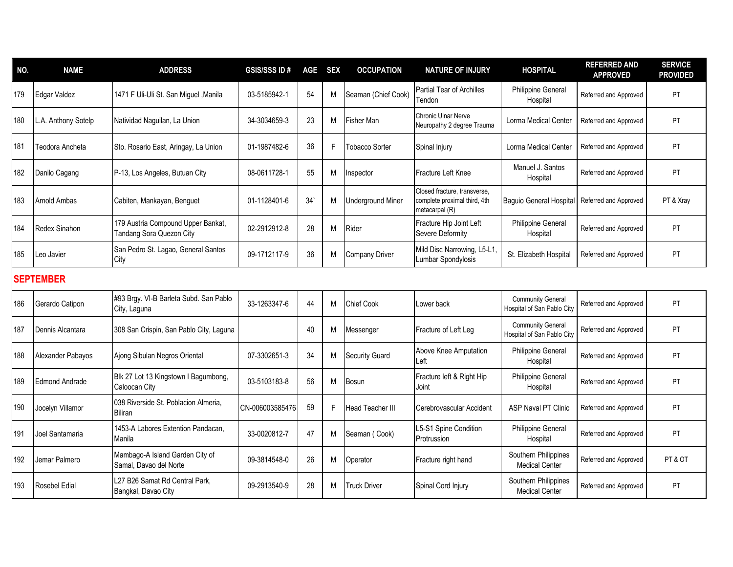| NO. | <b>NAME</b>           | <b>ADDRESS</b>                                                 | <b>GSIS/SSSID#</b> | <b>AGE</b> | <b>SEX</b> | <b>OCCUPATION</b>        | <b>NATURE OF INJURY</b>                                                        | <b>HOSPITAL</b>                                        | <b>REFERRED AND</b><br><b>APPROVED</b> | <b>SERVICE</b><br><b>PROVIDED</b> |
|-----|-----------------------|----------------------------------------------------------------|--------------------|------------|------------|--------------------------|--------------------------------------------------------------------------------|--------------------------------------------------------|----------------------------------------|-----------------------------------|
| 179 | Edgar Valdez          | 1471 F Uli-Uli St. San Miguel , Manila                         | 03-5185942-1       | 54         | M          | Seaman (Chief Cook)      | Partial Tear of Archilles<br>Tendon                                            | Philippine General<br>Hospital                         | Referred and Approved                  | PT                                |
| 180 | L.A. Anthony Sotelp   | Natividad Naguilan, La Union                                   | 34-3034659-3       | 23         | M          | Fisher Man               | <b>Chronic Ulnar Nerve</b><br>Neuropathy 2 degree Trauma                       | <b>Lorma Medical Center</b>                            | Referred and Approved                  | PT                                |
| 181 | Teodora Ancheta       | Sto. Rosario East, Aringay, La Union                           | 01-1987482-6       | 36         | F          | Tobacco Sorter           | Spinal Injury                                                                  | Lorma Medical Center                                   | Referred and Approved                  | PT                                |
| 182 | Danilo Cagang         | P-13, Los Angeles, Butuan City                                 | 08-0611728-1       | 55         | M          | Inspector                | Fracture Left Knee                                                             | Manuel J. Santos<br>Hospital                           | Referred and Approved                  | PT                                |
| 183 | <b>Arnold Ambas</b>   | Cabiten, Mankayan, Benguet                                     | 01-1128401-6       | 34'        | M          | <b>Underground Miner</b> | Closed fracture, transverse,<br>complete proximal third, 4th<br>metacarpal (R) | Baguio General Hospital                                | Referred and Approved                  | PT & Xray                         |
| 184 | Redex Sinahon         | 179 Austria Compound Upper Bankat,<br>Tandang Sora Quezon City | 02-2912912-8       | 28         | M          | Rider                    | Fracture Hip Joint Left<br>Severe Deformity                                    | Philippine General<br>Hospital                         | Referred and Approved                  | PT                                |
| 185 | Leo Javier            | San Pedro St. Lagao, General Santos<br>City                    | 09-1712117-9       | 36         | M          | <b>Company Driver</b>    | Mild Disc Narrowing, L5-L1,<br>umbar Spondylosis                               | St. Elizabeth Hospital                                 | Referred and Approved                  | PT                                |
|     | <b>SEPTEMBER</b>      |                                                                |                    |            |            |                          |                                                                                |                                                        |                                        |                                   |
| 186 | Gerardo Catipon       | #93 Brgy. VI-B Barleta Subd. San Pablo<br>City, Laguna         | 33-1263347-6       | 44         | M          | <b>Chief Cook</b>        | ower back                                                                      | <b>Community General</b><br>Hospital of San Pablo City | Referred and Approved                  | PT                                |
| 187 | Dennis Alcantara      | 308 San Crispin, San Pablo City, Laguna                        |                    | 40         | M          | Messenger                | Fracture of Left Leg                                                           | <b>Community General</b><br>Hospital of San Pablo City | Referred and Approved                  | PT                                |
| 188 | Alexander Pabayos     | Ajong Sibulan Negros Oriental                                  | 07-3302651-3       | 34         | M          | <b>Security Guard</b>    | Above Knee Amputation<br>.eft                                                  | Philippine General<br>Hospital                         | Referred and Approved                  | PT                                |
| 189 | <b>Edmond Andrade</b> | Blk 27 Lot 13 Kingstown I Bagumbong,<br>Caloocan City          | 03-5103183-8       | 56         | M          | Bosun                    | Fracture left & Right Hip<br>Joint                                             | Philippine General<br>Hospital                         | Referred and Approved                  | PT                                |
| 190 | Jocelyn Villamor      | 038 Riverside St. Poblacion Almeria,<br><b>Biliran</b>         | CN-006003585476    | 59         | F          | <b>Head Teacher III</b>  | Cerebrovascular Accident                                                       | <b>ASP Naval PT Clinic</b>                             | Referred and Approved                  | <b>PT</b>                         |
| 191 | Joel Santamaria       | 1453-A Labores Extention Pandacan,<br>Manila                   | 33-0020812-7       | 47         | M          | Seaman (Cook)            | L5-S1 Spine Condition<br>Protrussion                                           | Philippine General<br>Hospital                         | Referred and Approved                  | PT                                |
| 192 | Jemar Palmero         | Mambago-A Island Garden City of<br>Samal, Davao del Norte      | 09-3814548-0       | 26         | M          | Operator                 | Fracture right hand                                                            | Southern Philippines<br><b>Medical Center</b>          | Referred and Approved                  | PT & OT                           |
| 193 | <b>Rosebel Edial</b>  | L27 B26 Samat Rd Central Park,<br>Bangkal, Davao City          | 09-2913540-9       | 28         | M          | <b>Truck Driver</b>      | Spinal Cord Injury                                                             | Southern Philippines<br><b>Medical Center</b>          | Referred and Approved                  | PT                                |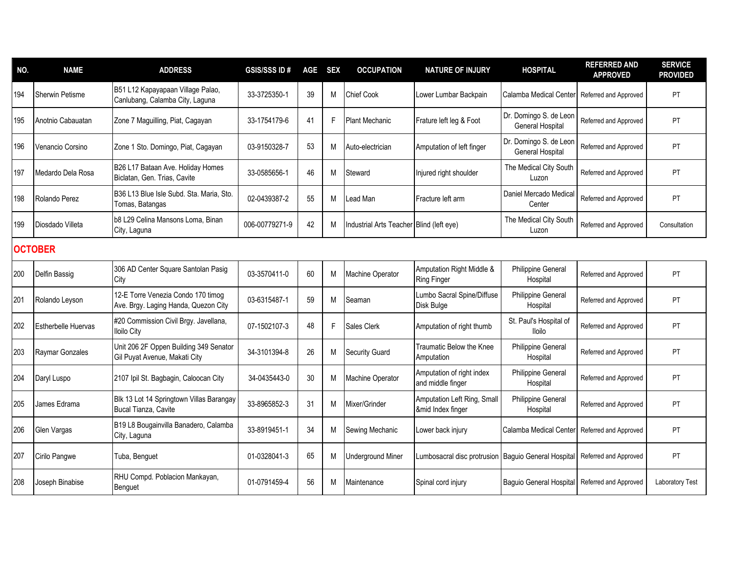| NO. | <b>NAME</b>                | <b>ADDRESS</b>                                                             | <b>GSIS/SSS ID#</b> | AGE SEX |    | <b>OCCUPATION</b>                        | <b>NATURE OF INJURY</b>                              | <b>HOSPITAL</b>                            | <b>REFERRED AND</b><br><b>APPROVED</b> | <b>SERVICE</b><br><b>PROVIDED</b> |  |
|-----|----------------------------|----------------------------------------------------------------------------|---------------------|---------|----|------------------------------------------|------------------------------------------------------|--------------------------------------------|----------------------------------------|-----------------------------------|--|
| 194 | <b>Sherwin Petisme</b>     | B51 L12 Kapayapaan Village Palao,<br>Canlubang, Calamba City, Laguna       | 33-3725350-1        | 39      | M  | <b>Chief Cook</b>                        | Lower Lumbar Backpain                                | Calamba Medical Center                     | Referred and Approved                  | PT                                |  |
| 195 | Anotnio Cabauatan          | Zone 7 Maguilling, Piat, Cagayan                                           | 33-1754179-6        | 41      | F  | <b>Plant Mechanic</b>                    | Frature left leg & Foot                              | Dr. Domingo S. de Leon<br>General Hospital | Referred and Approved                  | <b>PT</b>                         |  |
| 196 | Venancio Corsino           | Zone 1 Sto. Domingo, Piat, Cagayan                                         | 03-9150328-7        | 53      | M  | Auto-electrician                         | Amputation of left finger                            | Dr. Domingo S. de Leor<br>General Hospital | Referred and Approved                  | PT                                |  |
| 197 | Medardo Dela Rosa          | B26 L17 Bataan Ave. Holiday Homes<br>Biclatan, Gen. Trias, Cavite          | 33-0585656-1        | 46      | M  | Steward                                  | Injured right shoulder                               | The Medical City South<br>Luzon            | Referred and Approved                  | PT                                |  |
| 198 | Rolando Perez              | B36 L13 Blue Isle Subd. Sta. Maria, Sto.<br>Tomas, Batangas                | 02-0439387-2        | 55      | M  | Lead Man                                 | Fracture left arm                                    | Daniel Mercado Medical<br>Center           | Referred and Approved                  | PT                                |  |
| 199 | Diosdado Villeta           | b8 L29 Celina Mansons Loma, Binan<br>City, Laguna                          | 006-00779271-9      | 42      | M  | Industrial Arts Teacher Blind (left eye) |                                                      | The Medical City South<br>Luzon            | Referred and Approved                  | Consultation                      |  |
|     | <b>OCTOBER</b>             |                                                                            |                     |         |    |                                          |                                                      |                                            |                                        |                                   |  |
| 200 | Delfin Bassig              | 306 AD Center Square Santolan Pasig<br>City                                | 03-3570411-0        | 60      | M  | Machine Operator                         | Amputation Right Middle &<br>Ring Finger             | Philippine General<br>Hospital             | Referred and Approved                  | PT                                |  |
| 201 | Rolando Leyson             | 12-E Torre Venezia Condo 170 timog<br>Ave. Brgy. Laging Handa, Quezon City | 03-6315487-1        | 59      | M  | Seaman                                   | Lumbo Sacral Spine/Diffuse<br>Disk Bulge             | <b>Philippine General</b><br>Hospital      | Referred and Approved                  | <b>PT</b>                         |  |
| 202 | <b>Estherbelle Huervas</b> | #20 Commission Civil Brgy. Javellana,<br><b>Iloilo City</b>                | 07-1502107-3        | 48      | F. | Sales Clerk                              | Amputation of right thumb                            | St. Paul's Hospital of<br><b>Iloilo</b>    | Referred and Approved                  | <b>PT</b>                         |  |
| 203 | Raymar Gonzales            | Unit 206 2F Oppen Building 349 Senator<br>Gil Puyat Avenue, Makati City    | 34-3101394-8        | 26      | M  | <b>Security Guard</b>                    | Traumatic Below the Knee<br>Amputation               | Philippine General<br>Hospital             | Referred and Approved                  | <b>PT</b>                         |  |
| 204 | Daryl Luspo                | 2107 Ipil St. Bagbagin, Caloocan City                                      | 34-0435443-0        | 30      | M  | <b>Machine Operator</b>                  | Amputation of right index<br>and middle finger       | Philippine General<br>Hospital             | Referred and Approved                  | PT                                |  |
| 205 | James Edrama               | Blk 13 Lot 14 Springtown Villas Barangay<br>Bucal Tianza, Cavite           | 33-8965852-3        | 31      | M  | Mixer/Grinder                            | Amputation Left Ring, Small<br>∣ Index finger        | Philippine General<br>Hospital             | Referred and Approved                  | PT                                |  |
| 206 | Glen Vargas                | B19 L8 Bougainvilla Banadero, Calamba<br>City, Laguna                      | 33-8919451-1        | 34      | M  | Sewing Mechanic                          | Lower back injury                                    | Calamba Medical Center                     | Referred and Approved                  | PT                                |  |
| 207 | Cirilo Pangwe              | Tuba, Benguet                                                              | 01-0328041-3        | 65      | M  | <b>Underground Miner</b>                 | umbosacral disc protrusion   Baguio General Hospital |                                            | Referred and Approved                  | PT                                |  |
| 208 | Joseph Binabise            | RHU Compd. Poblacion Mankayan,<br>Benguet                                  | 01-0791459-4        | 56      | M  | Maintenance                              | Spinal cord injury                                   | <b>Baguio General Hospital</b>             | Referred and Approved                  | <b>Laboratory Test</b>            |  |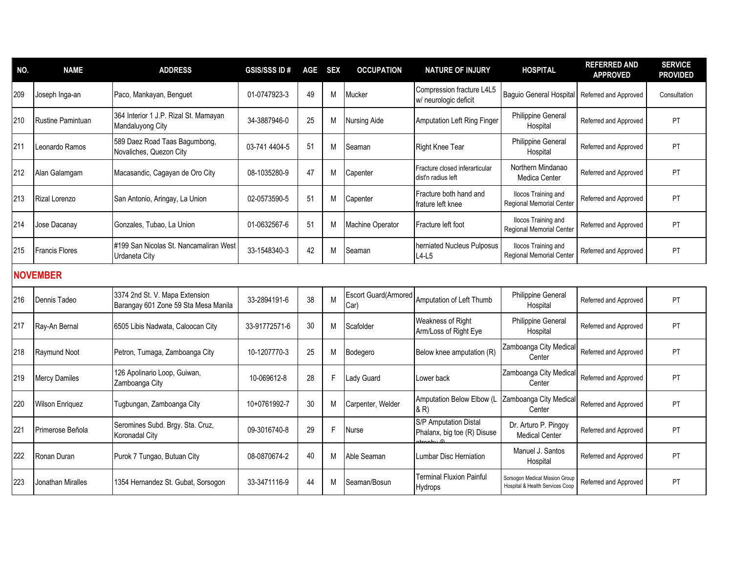| NO. | <b>NAME</b>              | <b>ADDRESS</b>                                                         | <b>GSIS/SSS ID#</b> | AGE SEX |    | <b>OCCUPATION</b>                   | <b>NATURE OF INJURY</b>                                          | <b>HOSPITAL</b>                                                   | <b>REFERRED AND</b><br><b>APPROVED</b> | <b>SERVICE</b><br><b>PROVIDED</b> |
|-----|--------------------------|------------------------------------------------------------------------|---------------------|---------|----|-------------------------------------|------------------------------------------------------------------|-------------------------------------------------------------------|----------------------------------------|-----------------------------------|
| 209 | Joseph Inga-an           | Paco, Mankayan, Benguet                                                | 01-0747923-3        | 49      | M  | Mucker                              | Compression fracture L4L5<br>w/ neurologic deficit               | Baguio General Hospital                                           | Referred and Approved                  | Consultation                      |
| 210 | <b>Rustine Pamintuan</b> | 364 Interior 1 J.P. Rizal St. Mamayan<br>Mandaluyong City              | 34-3887946-0        | 25      | М  | <b>Nursing Aide</b>                 | <b>Amputation Left Ring Finger</b>                               | Philippine General<br>Hospital                                    | Referred and Approved                  | <b>PT</b>                         |
| 211 | Leonardo Ramos           | 589 Daez Road Taas Bagumbong,<br>Novaliches, Quezon City               | 03-741 4404-5       | 51      | М  | Seaman                              | Right Knee Tear                                                  | Philippine General<br>Hospital                                    | Referred and Approved                  | <b>PT</b>                         |
| 212 | Alan Galamgam            | Macasandic, Cagayan de Oro City                                        | 08-1035280-9        | 47      | М  | Capenter                            | Fracture closed inferarticular<br>dist'n radius left             | Northern Mindanao<br>Medica Center                                | Referred and Approved                  | PT.                               |
| 213 | Rizal Lorenzo            | San Antonio, Aringay, La Union                                         | 02-0573590-5        | 51      | М  | Capenter                            | Fracture both hand and<br>frature left knee                      | <b>Ilocos Training and</b><br>Regional Memorial Center            | Referred and Approved                  | PT                                |
| 214 | Jose Dacanay             | Gonzales, Tubao, La Union                                              | 01-0632567-6        | 51      | М  | Machine Operator                    | Fracture left foot                                               | <b>Ilocos Training and</b><br>Regional Memorial Center            | Referred and Approved                  | <b>PT</b>                         |
| 215 | <b>Francis Flores</b>    | #199 San Nicolas St. Nancamaliran West<br><b>Urdaneta City</b>         | 33-1548340-3        | 42      | М  | Seaman                              | herniated Nucleus Pulposus<br>$L4-L5$                            | <b>Ilocos Training and</b><br><b>Regional Memorial Center</b>     | Referred and Approved                  | <b>PT</b>                         |
|     | <b>NOVEMBER</b>          |                                                                        |                     |         |    |                                     |                                                                  |                                                                   |                                        |                                   |
| 216 | Dennis Tadeo             | 3374 2nd St. V. Mapa Extension<br>Barangay 601 Zone 59 Sta Mesa Manila | 33-2894191-6        | 38      | M  | <b>Escort Guard(Armored</b><br>Car) | Amputation of Left Thumb                                         | Philippine General<br>Hospital                                    | Referred and Approved                  | PT                                |
| 217 | Ray-An Bernal            | 6505 Libis Nadwata, Caloocan City                                      | 33-91772571-6       | 30      | м  | Scafolder                           | Weakness of Right<br>Arm/Loss of Right Eye                       | Philippine General<br>Hospital                                    | Referred and Approved                  | PT.                               |
| 218 | Raymund Noot             | Petron, Tumaga, Zamboanga City                                         | 10-1207770-3        | 25      | M  | Bodegero                            | Below knee amputation (R)                                        | Zamboanga City Medical<br>Center                                  | Referred and Approved                  | <b>PT</b>                         |
| 219 | <b>Mercy Damiles</b>     | 126 Apolinario Loop, Guiwan,<br>Zamboanga City                         | 10-069612-8         | 28      | F. | Lady Guard                          | Lower back                                                       | Zamboanga City Medical<br>Center                                  | Referred and Approved                  | <b>PT</b>                         |
| 220 | <b>Wilson Enriquez</b>   | Tugbungan, Zamboanga City                                              | 10+0761992-7        | 30      | М  | Carpenter, Welder                   | Amputation Below Elbow (L<br>& R)                                | Zamboanga City Medical<br>Center                                  | Referred and Approved                  | <b>PT</b>                         |
| 221 | Primerose Beñola         | Seromines Subd. Brgy. Sta. Cruz,<br>Koronadal City                     | 09-3016740-8        | 29      | F. | Nurse                               | S/P Amputation Distal<br>Phalanx, big toe (R) Disuse<br>1.1.1.00 | Dr. Arturo P. Pingoy<br><b>Medical Center</b>                     | Referred and Approved                  | PT                                |
| 222 | Ronan Duran              | Purok 7 Tungao, Butuan City                                            | 08-0870674-2        | 40      | М  | Able Seaman                         | Lumbar Disc Herniation                                           | Manuel J. Santos<br>Hospital                                      | Referred and Approved                  | PT                                |
| 223 | Jonathan Miralles        | 1354 Hernandez St. Gubat, Sorsogon                                     | 33-3471116-9        | 44      | М  | Seaman/Bosun                        | Terminal Fluxion Painful<br>Hydrops                              | Sorsogon Medical Mission Group<br>Hospital & Health Services Coop | Referred and Approved                  | PT.                               |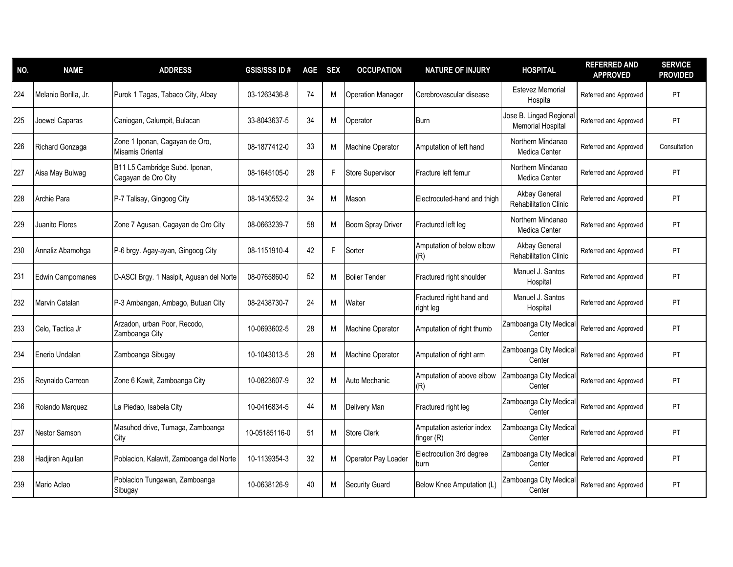| NO. | <b>NAME</b>             | <b>ADDRESS</b>                                        | <b>GSIS/SSS ID#</b> | AGE SEX |   | <b>OCCUPATION</b>        | <b>NATURE OF INJURY</b>                 | <b>HOSPITAL</b>                                    | <b>REFERRED AND</b><br><b>APPROVED</b> | <b>SERVICE</b><br><b>PROVIDED</b> |
|-----|-------------------------|-------------------------------------------------------|---------------------|---------|---|--------------------------|-----------------------------------------|----------------------------------------------------|----------------------------------------|-----------------------------------|
| 224 | Melanio Borilla, Jr.    | Purok 1 Tagas, Tabaco City, Albay                     | 03-1263436-8        | 74      | M | <b>Operation Manager</b> | Cerebrovascular disease                 | <b>Estevez Memorial</b><br>Hospita                 | Referred and Approved                  | PT                                |
| 225 | Joewel Caparas          | Caniogan, Calumpit, Bulacan                           | 33-8043637-5        | 34      | M | Operator                 | <b>Burn</b>                             | Jose B. Lingad Regiona<br><b>Memorial Hospital</b> | Referred and Approved                  | PT                                |
| 226 | Richard Gonzaga         | Zone 1 Iponan, Cagayan de Oro,<br>Misamis Oriental    | 08-1877412-0        | 33      | M | <b>Machine Operator</b>  | Amputation of left hand                 | Northern Mindanao<br>Medica Center                 | Referred and Approved                  | Consultation                      |
| 227 | Aisa May Bulwag         | B11 L5 Cambridge Subd. Iponan,<br>Cagayan de Oro City | 08-1645105-0        | 28      | F | <b>Store Supervisor</b>  | Fracture left femur                     | Northern Mindanao<br>Medica Center                 | Referred and Approved                  | PT                                |
| 228 | Archie Para             | P-7 Talisay, Gingoog City                             | 08-1430552-2        | 34      | M | Mason                    | Electrocuted-hand and thigh             | Akbay General<br><b>Rehabilitation Clinic</b>      | Referred and Approved                  | PT                                |
| 229 | Juanito Flores          | Zone 7 Agusan, Cagayan de Oro City                    | 08-0663239-7        | 58      | M | Boom Spray Driver        | Fractured left leg                      | Northern Mindanao<br>Medica Center                 | Referred and Approved                  | <b>PT</b>                         |
| 230 | Annaliz Abamohga        | P-6 brgy. Agay-ayan, Gingoog City                     | 08-1151910-4        | 42      | F | Sorter                   | Amputation of below elbow<br>(R)        | Akbay General<br>Rehabilitation Clinic             | Referred and Approved                  | PT                                |
| 231 | <b>Edwin Campomanes</b> | D-ASCI Brgy. 1 Nasipit, Agusan del Norte              | 08-0765860-0        | 52      | M | <b>Boiler Tender</b>     | Fractured right shoulder                | Manuel J. Santos<br>Hospital                       | Referred and Approved                  | PT                                |
| 232 | Marvin Catalan          | P-3 Ambangan, Ambago, Butuan City                     | 08-2438730-7        | 24      | M | Waiter                   | Fractured right hand and<br>right leg   | Manuel J. Santos<br>Hospital                       | Referred and Approved                  | PT                                |
| 233 | Celo, Tactica Jr        | Arzadon, urban Poor, Recodo,<br>Zamboanga City        | 10-0693602-5        | 28      | M | <b>Machine Operator</b>  | Amputation of right thumb               | Zamboanga City Medica<br>Center                    | Referred and Approved                  | PT                                |
| 234 | Enerio Undalan          | Zamboanga Sibugay                                     | 10-1043013-5        | 28      | M | <b>Machine Operator</b>  | Amputation of right arm                 | Zamboanga City Medica<br>Center                    | Referred and Approved                  | PT                                |
| 235 | Reynaldo Carreon        | Zone 6 Kawit, Zamboanga City                          | 10-0823607-9        | 32      | M | Auto Mechanic            | Amputation of above elbow<br>(R)        | Zamboanga City Medica<br>Center                    | Referred and Approved                  | PT                                |
| 236 | Rolando Marquez         | La Piedao, Isabela City                               | 10-0416834-5        | 44      | M | Delivery Man             | Fractured right leg                     | Zamboanga City Medical<br>Center                   | Referred and Approved                  | PT                                |
| 237 | Nestor Samson           | Masuhod drive, Tumaga, Zamboanga<br>City              | 10-05185116-0       | 51      | M | <b>Store Clerk</b>       | Amputation asterior index<br>finger (R) | Zamboanga City Medical<br>Center                   | Referred and Approved                  | PT                                |
| 238 | Hadjiren Aquilan        | Poblacion, Kalawit, Zamboanga del Norte               | 10-1139354-3        | 32      | M | Operator Pay Loader      | Electrocution 3rd degree<br>burn        | Zamboanga City Medica<br>Center                    | Referred and Approved                  | PT                                |
| 239 | Mario Aclao             | Poblacion Tungawan, Zamboanga<br>Sibugay              | 10-0638126-9        | 40      | M | <b>Security Guard</b>    | Below Knee Amputation (L)               | Zamboanga City Medica<br>Center                    | Referred and Approved                  | PT                                |